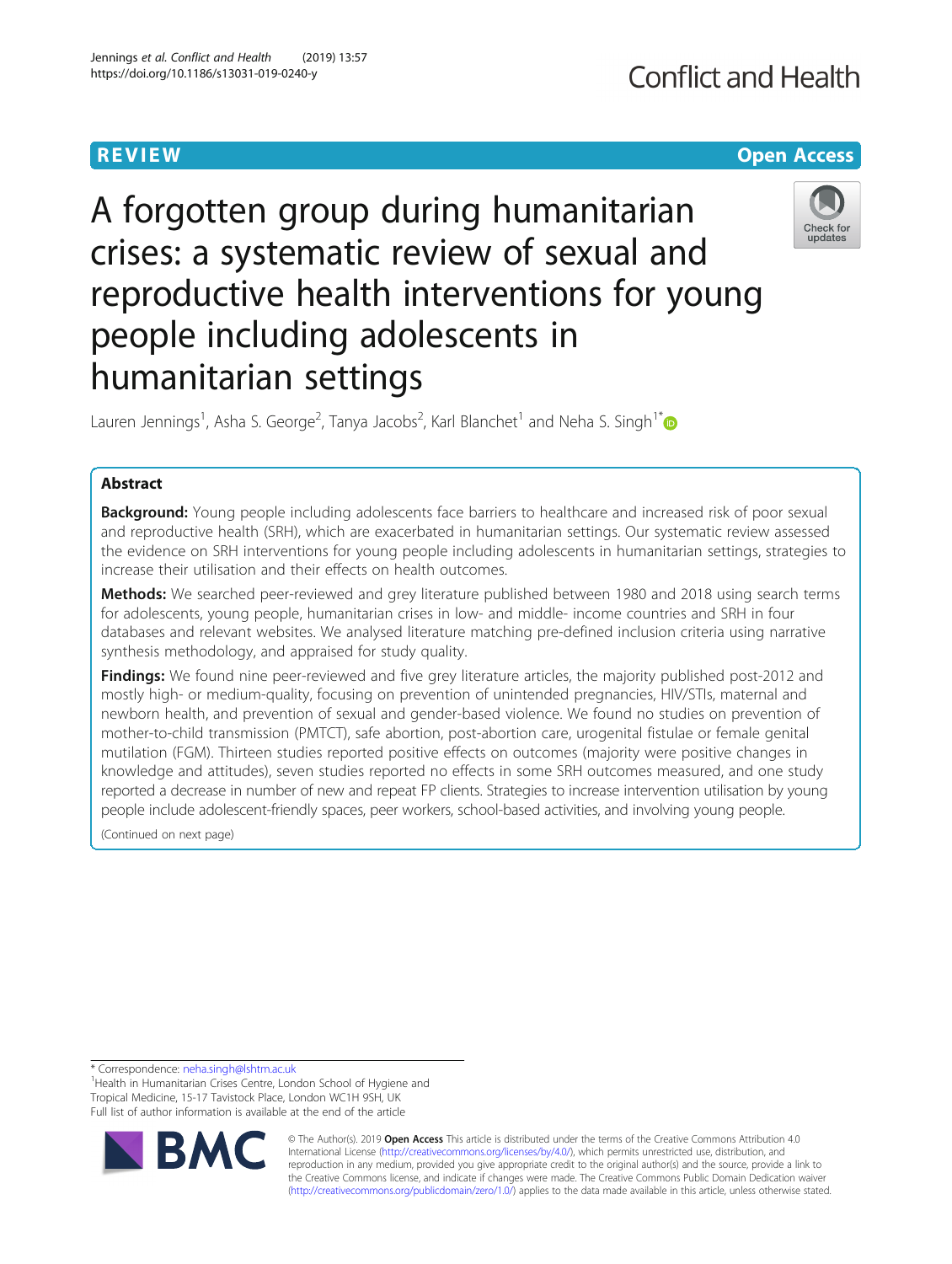# **REVIEW ACCESS AND LOCAL CONTRACT CONTRACT OF ACCESS**

# A forgotten group during humanitarian crises: a systematic review of sexual and reproductive health interventions for young people including adolescents in humanitarian settings



Lauren Jennings<sup>1</sup>, Asha S. George<sup>2</sup>, Tanya Jacobs<sup>2</sup>, Karl Blanchet<sup>1</sup> and Neha S. Singh<sup>1[\\*](http://orcid.org/0000-0003-0057-121X)</sup>

# Abstract

**Background:** Young people including adolescents face barriers to healthcare and increased risk of poor sexual and reproductive health (SRH), which are exacerbated in humanitarian settings. Our systematic review assessed the evidence on SRH interventions for young people including adolescents in humanitarian settings, strategies to increase their utilisation and their effects on health outcomes.

Methods: We searched peer-reviewed and grey literature published between 1980 and 2018 using search terms for adolescents, young people, humanitarian crises in low- and middle- income countries and SRH in four databases and relevant websites. We analysed literature matching pre-defined inclusion criteria using narrative synthesis methodology, and appraised for study quality.

Findings: We found nine peer-reviewed and five grey literature articles, the majority published post-2012 and mostly high- or medium-quality, focusing on prevention of unintended pregnancies, HIV/STIs, maternal and newborn health, and prevention of sexual and gender-based violence. We found no studies on prevention of mother-to-child transmission (PMTCT), safe abortion, post-abortion care, urogenital fistulae or female genital mutilation (FGM). Thirteen studies reported positive effects on outcomes (majority were positive changes in knowledge and attitudes), seven studies reported no effects in some SRH outcomes measured, and one study reported a decrease in number of new and repeat FP clients. Strategies to increase intervention utilisation by young people include adolescent-friendly spaces, peer workers, school-based activities, and involving young people.

(Continued on next page)

\* Correspondence: [neha.singh@lshtm.ac.uk](mailto:neha.singh@lshtm.ac.uk) <sup>1</sup>

<sup>1</sup> Health in Humanitarian Crises Centre, London School of Hygiene and Tropical Medicine, 15-17 Tavistock Place, London WC1H 9SH, UK Full list of author information is available at the end of the article



© The Author(s). 2019 **Open Access** This article is distributed under the terms of the Creative Commons Attribution 4.0 International License [\(http://creativecommons.org/licenses/by/4.0/](http://creativecommons.org/licenses/by/4.0/)), which permits unrestricted use, distribution, and reproduction in any medium, provided you give appropriate credit to the original author(s) and the source, provide a link to the Creative Commons license, and indicate if changes were made. The Creative Commons Public Domain Dedication waiver [\(http://creativecommons.org/publicdomain/zero/1.0/](http://creativecommons.org/publicdomain/zero/1.0/)) applies to the data made available in this article, unless otherwise stated.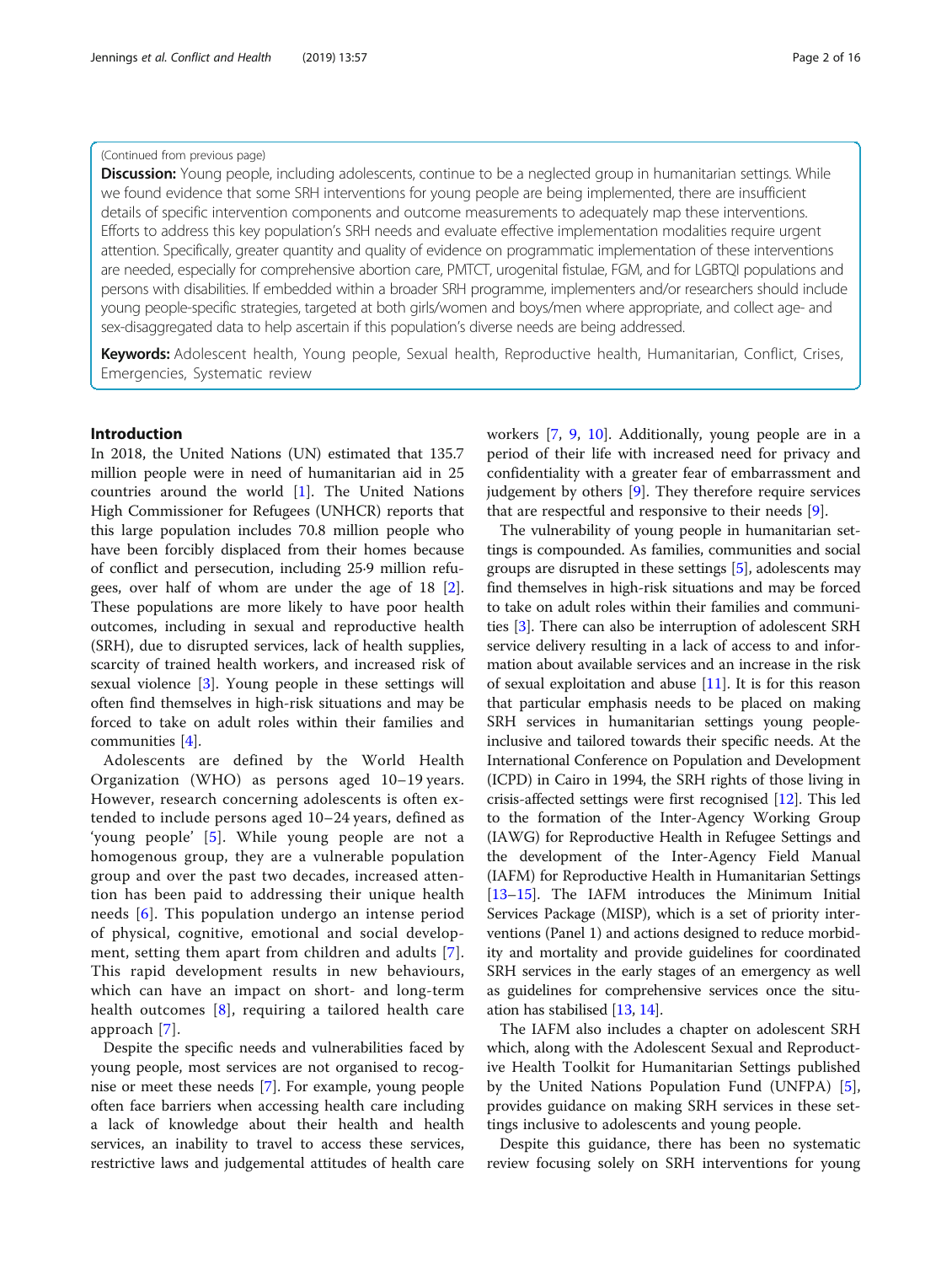### (Continued from previous page)

Discussion: Young people, including adolescents, continue to be a neglected group in humanitarian settings. While we found evidence that some SRH interventions for young people are being implemented, there are insufficient details of specific intervention components and outcome measurements to adequately map these interventions. Efforts to address this key population's SRH needs and evaluate effective implementation modalities require urgent attention. Specifically, greater quantity and quality of evidence on programmatic implementation of these interventions are needed, especially for comprehensive abortion care, PMTCT, urogenital fistulae, FGM, and for LGBTQI populations and persons with disabilities. If embedded within a broader SRH programme, implementers and/or researchers should include young people-specific strategies, targeted at both girls/women and boys/men where appropriate, and collect age- and sex-disaggregated data to help ascertain if this population's diverse needs are being addressed.

Keywords: Adolescent health, Young people, Sexual health, Reproductive health, Humanitarian, Conflict, Crises, Emergencies, Systematic review

# Introduction

In 2018, the United Nations (UN) estimated that 135.7 million people were in need of humanitarian aid in 25 countries around the world [[1\]](#page-14-0). The United Nations High Commissioner for Refugees (UNHCR) reports that this large population includes 70.8 million people who have been forcibly displaced from their homes because of conflict and persecution, including 25·9 million refugees, over half of whom are under the age of 18 [\[2](#page-14-0)]. These populations are more likely to have poor health outcomes, including in sexual and reproductive health (SRH), due to disrupted services, lack of health supplies, scarcity of trained health workers, and increased risk of sexual violence [[3\]](#page-14-0). Young people in these settings will often find themselves in high-risk situations and may be forced to take on adult roles within their families and communities [[4\]](#page-14-0).

Adolescents are defined by the World Health Organization (WHO) as persons aged 10–19 years. However, research concerning adolescents is often extended to include persons aged 10–24 years, defined as 'young people' [[5\]](#page-14-0). While young people are not a homogenous group, they are a vulnerable population group and over the past two decades, increased attention has been paid to addressing their unique health needs [[6](#page-14-0)]. This population undergo an intense period of physical, cognitive, emotional and social development, setting them apart from children and adults [[7](#page-14-0)]. This rapid development results in new behaviours, which can have an impact on short- and long-term health outcomes [[8\]](#page-14-0), requiring a tailored health care approach [\[7](#page-14-0)].

Despite the specific needs and vulnerabilities faced by young people, most services are not organised to recognise or meet these needs [\[7](#page-14-0)]. For example, young people often face barriers when accessing health care including a lack of knowledge about their health and health services, an inability to travel to access these services, restrictive laws and judgemental attitudes of health care workers [[7,](#page-14-0) [9](#page-14-0), [10\]](#page-14-0). Additionally, young people are in a period of their life with increased need for privacy and confidentiality with a greater fear of embarrassment and judgement by others [\[9](#page-14-0)]. They therefore require services that are respectful and responsive to their needs [\[9](#page-14-0)].

The vulnerability of young people in humanitarian settings is compounded. As families, communities and social groups are disrupted in these settings [[5](#page-14-0)], adolescents may find themselves in high-risk situations and may be forced to take on adult roles within their families and communities [\[3](#page-14-0)]. There can also be interruption of adolescent SRH service delivery resulting in a lack of access to and information about available services and an increase in the risk of sexual exploitation and abuse [\[11\]](#page-14-0). It is for this reason that particular emphasis needs to be placed on making SRH services in humanitarian settings young peopleinclusive and tailored towards their specific needs. At the International Conference on Population and Development (ICPD) in Cairo in 1994, the SRH rights of those living in crisis-affected settings were first recognised [\[12\]](#page-14-0). This led to the formation of the Inter-Agency Working Group (IAWG) for Reproductive Health in Refugee Settings and the development of the Inter-Agency Field Manual (IAFM) for Reproductive Health in Humanitarian Settings [[13](#page-14-0)–[15\]](#page-14-0). The IAFM introduces the Minimum Initial Services Package (MISP), which is a set of priority interventions (Panel 1) and actions designed to reduce morbidity and mortality and provide guidelines for coordinated SRH services in the early stages of an emergency as well as guidelines for comprehensive services once the situation has stabilised [[13](#page-14-0), [14\]](#page-14-0).

The IAFM also includes a chapter on adolescent SRH which, along with the Adolescent Sexual and Reproductive Health Toolkit for Humanitarian Settings published by the United Nations Population Fund (UNFPA) [\[5](#page-14-0)], provides guidance on making SRH services in these settings inclusive to adolescents and young people.

Despite this guidance, there has been no systematic review focusing solely on SRH interventions for young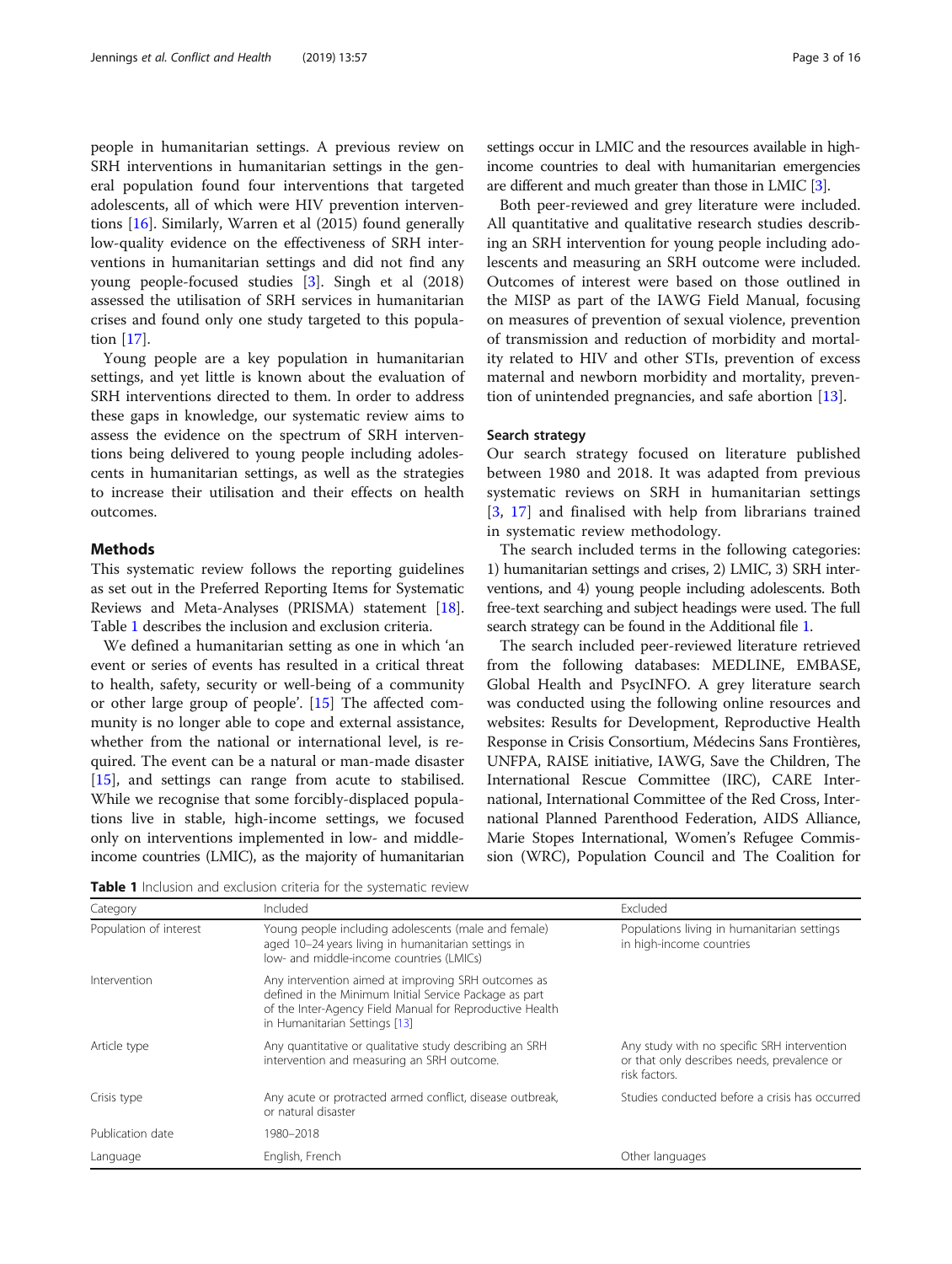<span id="page-2-0"></span>people in humanitarian settings. A previous review on SRH interventions in humanitarian settings in the general population found four interventions that targeted adolescents, all of which were HIV prevention interventions [\[16\]](#page-14-0). Similarly, Warren et al (2015) found generally low-quality evidence on the effectiveness of SRH interventions in humanitarian settings and did not find any young people-focused studies [[3\]](#page-14-0). Singh et al (2018) assessed the utilisation of SRH services in humanitarian crises and found only one study targeted to this population [\[17\]](#page-14-0).

Young people are a key population in humanitarian settings, and yet little is known about the evaluation of SRH interventions directed to them. In order to address these gaps in knowledge, our systematic review aims to assess the evidence on the spectrum of SRH interventions being delivered to young people including adolescents in humanitarian settings, as well as the strategies to increase their utilisation and their effects on health outcomes.

# **Methods**

This systematic review follows the reporting guidelines as set out in the Preferred Reporting Items for Systematic Reviews and Meta-Analyses (PRISMA) statement [[18](#page-14-0)]. Table 1 describes the inclusion and exclusion criteria.

We defined a humanitarian setting as one in which 'an event or series of events has resulted in a critical threat to health, safety, security or well-being of a community or other large group of people'. [[15](#page-14-0)] The affected community is no longer able to cope and external assistance, whether from the national or international level, is required. The event can be a natural or man-made disaster [[15\]](#page-14-0), and settings can range from acute to stabilised. While we recognise that some forcibly-displaced populations live in stable, high-income settings, we focused only on interventions implemented in low- and middleincome countries (LMIC), as the majority of humanitarian settings occur in LMIC and the resources available in highincome countries to deal with humanitarian emergencies are different and much greater than those in LMIC [\[3\]](#page-14-0).

Both peer-reviewed and grey literature were included. All quantitative and qualitative research studies describing an SRH intervention for young people including adolescents and measuring an SRH outcome were included. Outcomes of interest were based on those outlined in the MISP as part of the IAWG Field Manual, focusing on measures of prevention of sexual violence, prevention of transmission and reduction of morbidity and mortality related to HIV and other STIs, prevention of excess maternal and newborn morbidity and mortality, prevention of unintended pregnancies, and safe abortion [[13\]](#page-14-0).

#### Search strategy

Our search strategy focused on literature published between 1980 and 2018. It was adapted from previous systematic reviews on SRH in humanitarian settings [[3](#page-14-0), [17\]](#page-14-0) and finalised with help from librarians trained in systematic review methodology.

The search included terms in the following categories: 1) humanitarian settings and crises, 2) LMIC, 3) SRH interventions, and 4) young people including adolescents. Both free-text searching and subject headings were used. The full search strategy can be found in the Additional file [1.](#page-13-0)

The search included peer-reviewed literature retrieved from the following databases: MEDLINE, EMBASE, Global Health and PsycINFO. A grey literature search was conducted using the following online resources and websites: Results for Development, Reproductive Health Response in Crisis Consortium, Médecins Sans Frontières, UNFPA, RAISE initiative, IAWG, Save the Children, The International Rescue Committee (IRC), CARE International, International Committee of the Red Cross, International Planned Parenthood Federation, AIDS Alliance, Marie Stopes International, Women's Refugee Commission (WRC), Population Council and The Coalition for

Table 1 Inclusion and exclusion criteria for the systematic review

| Category               | Included                                                                                                                                                                                                   | Excluded                                                                                                    |
|------------------------|------------------------------------------------------------------------------------------------------------------------------------------------------------------------------------------------------------|-------------------------------------------------------------------------------------------------------------|
| Population of interest | Young people including adolescents (male and female)<br>aged 10-24 years living in humanitarian settings in<br>low- and middle-income countries (LMICs)                                                    | Populations living in humanitarian settings<br>in high-income countries                                     |
| Intervention           | Any intervention aimed at improving SRH outcomes as<br>defined in the Minimum Initial Service Package as part<br>of the Inter-Agency Field Manual for Reproductive Health<br>in Humanitarian Settings [13] |                                                                                                             |
| Article type           | Any quantitative or qualitative study describing an SRH<br>intervention and measuring an SRH outcome.                                                                                                      | Any study with no specific SRH intervention<br>or that only describes needs, prevalence or<br>risk factors. |
| Crisis type            | Any acute or protracted armed conflict, disease outbreak,<br>or natural disaster                                                                                                                           | Studies conducted before a crisis has occurred                                                              |
| Publication date       | 1980–2018                                                                                                                                                                                                  |                                                                                                             |
| Language               | English, French                                                                                                                                                                                            | Other languages                                                                                             |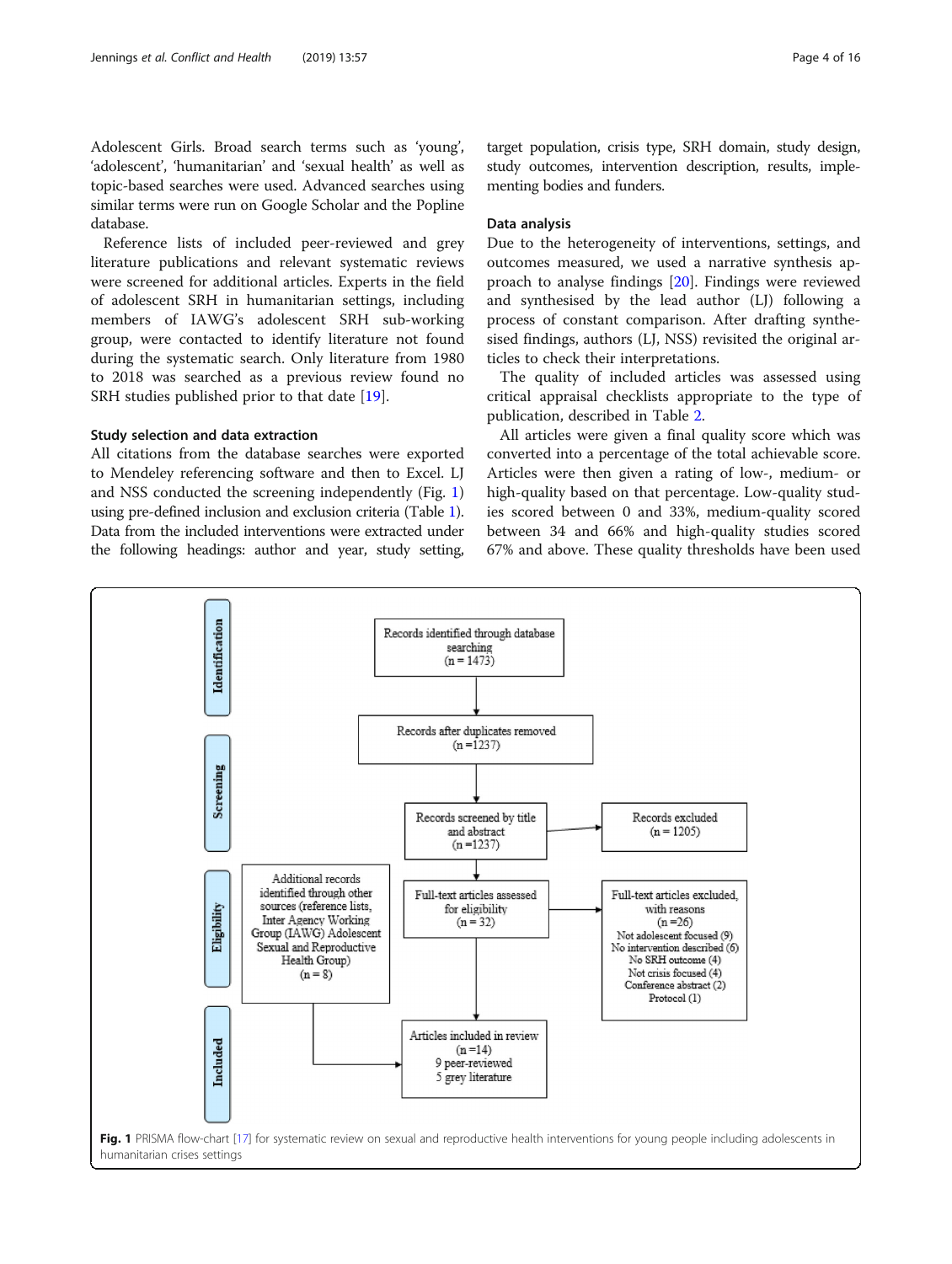<span id="page-3-0"></span>Adolescent Girls. Broad search terms such as 'young', 'adolescent', 'humanitarian' and 'sexual health' as well as topic-based searches were used. Advanced searches using similar terms were run on Google Scholar and the Popline database.

Reference lists of included peer-reviewed and grey literature publications and relevant systematic reviews were screened for additional articles. Experts in the field of adolescent SRH in humanitarian settings, including members of IAWG's adolescent SRH sub-working group, were contacted to identify literature not found during the systematic search. Only literature from 1980 to 2018 was searched as a previous review found no SRH studies published prior to that date [[19](#page-14-0)].

# Study selection and data extraction

All citations from the database searches were exported to Mendeley referencing software and then to Excel. LJ and NSS conducted the screening independently (Fig. 1) using pre-defined inclusion and exclusion criteria (Table [1](#page-2-0)). Data from the included interventions were extracted under the following headings: author and year, study setting,

target population, crisis type, SRH domain, study design, study outcomes, intervention description, results, implementing bodies and funders.

# Data analysis

Due to the heterogeneity of interventions, settings, and outcomes measured, we used a narrative synthesis approach to analyse findings [[20](#page-14-0)]. Findings were reviewed and synthesised by the lead author (LJ) following a process of constant comparison. After drafting synthesised findings, authors (LJ, NSS) revisited the original articles to check their interpretations.

The quality of included articles was assessed using critical appraisal checklists appropriate to the type of publication, described in Table [2](#page-4-0).

All articles were given a final quality score which was converted into a percentage of the total achievable score. Articles were then given a rating of low-, medium- or high-quality based on that percentage. Low-quality studies scored between 0 and 33%, medium-quality scored between 34 and 66% and high-quality studies scored 67% and above. These quality thresholds have been used

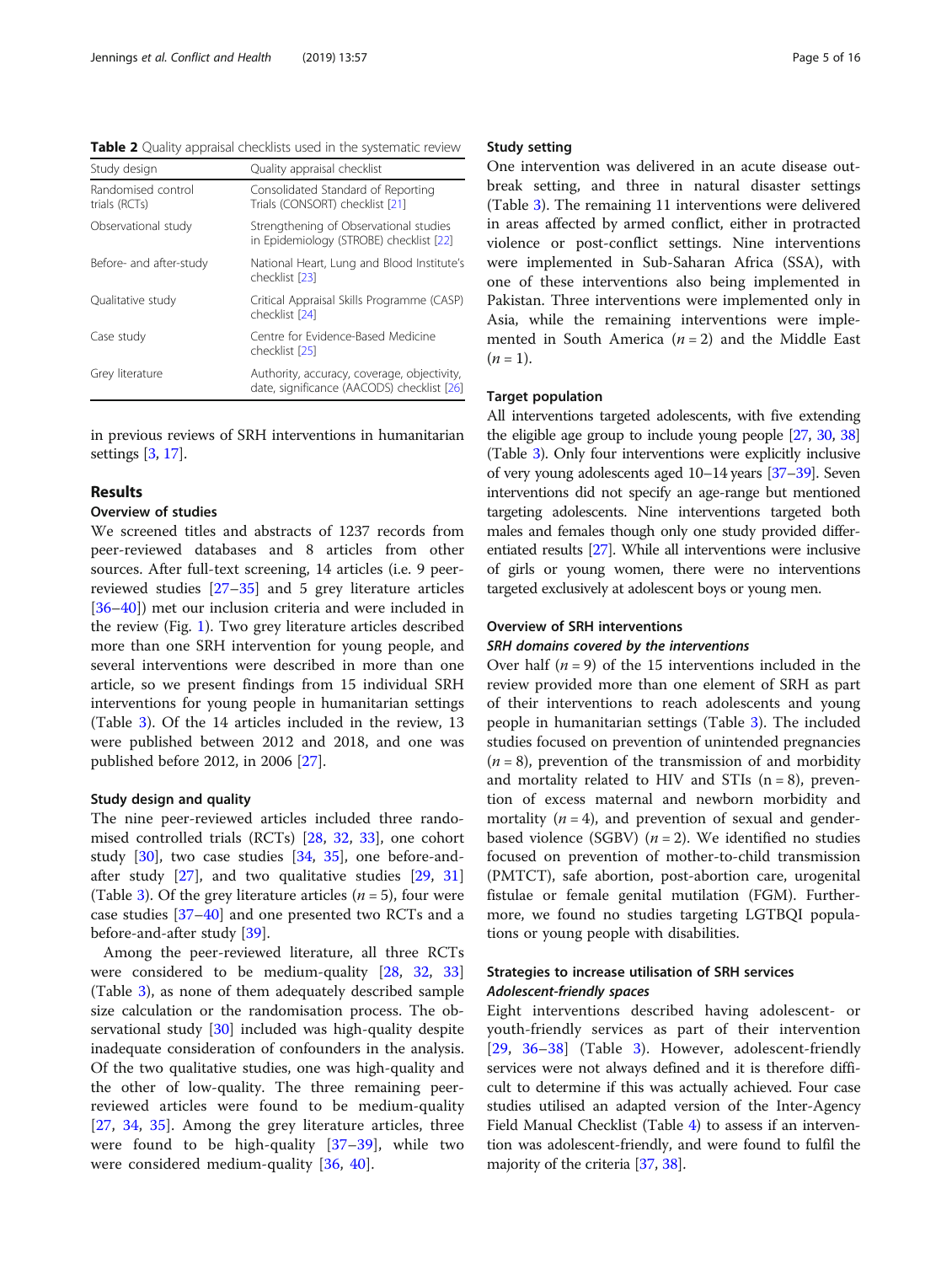<span id="page-4-0"></span>Table 2 Quality appraisal checklists used in the systematic review

| Study design                        | Quality appraisal checklist                                                               |
|-------------------------------------|-------------------------------------------------------------------------------------------|
| Randomised control<br>trials (RCTs) | Consolidated Standard of Reporting<br>Trials (CONSORT) checklist [21]                     |
| Observational study                 | Strengthening of Observational studies<br>in Epidemiology (STROBE) checklist [22]         |
| Before- and after-study             | National Heart, Lung and Blood Institute's<br>checklist [23]                              |
| Qualitative study                   | Critical Appraisal Skills Programme (CASP)<br>checklist [24]                              |
| Case study                          | Centre for Evidence-Based Medicine<br>checklist [25]                                      |
| Grey literature                     | Authority, accuracy, coverage, objectivity,<br>date, significance (AACODS) checklist [26] |

in previous reviews of SRH interventions in humanitarian settings [[3,](#page-14-0) [17\]](#page-14-0).

#### Results

# Overview of studies

We screened titles and abstracts of 1237 records from peer-reviewed databases and 8 articles from other sources. After full-text screening, 14 articles (i.e. 9 peerreviewed studies [[27](#page-14-0)–[35](#page-14-0)] and 5 grey literature articles [[36](#page-14-0)–[40](#page-14-0)]) met our inclusion criteria and were included in the review (Fig. [1](#page-3-0)). Two grey literature articles described more than one SRH intervention for young people, and several interventions were described in more than one article, so we present findings from 15 individual SRH interventions for young people in humanitarian settings (Table [3\)](#page-5-0). Of the 14 articles included in the review, 13 were published between 2012 and 2018, and one was published before 2012, in 2006 [[27\]](#page-14-0).

#### Study design and quality

The nine peer-reviewed articles included three randomised controlled trials (RCTs) [\[28](#page-14-0), [32,](#page-14-0) [33\]](#page-14-0), one cohort study [[30\]](#page-14-0), two case studies [[34](#page-14-0), [35](#page-14-0)], one before-andafter study  $[27]$  $[27]$ , and two qualitative studies  $[29, 31]$  $[29, 31]$  $[29, 31]$  $[29, 31]$  $[29, 31]$ (Table [3\)](#page-5-0). Of the grey literature articles ( $n = 5$ ), four were case studies [[37](#page-14-0)–[40](#page-14-0)] and one presented two RCTs and a before-and-after study [[39\]](#page-14-0).

Among the peer-reviewed literature, all three RCTs were considered to be medium-quality [\[28,](#page-14-0) [32,](#page-14-0) [33](#page-14-0)] (Table [3](#page-5-0)), as none of them adequately described sample size calculation or the randomisation process. The observational study [[30](#page-14-0)] included was high-quality despite inadequate consideration of confounders in the analysis. Of the two qualitative studies, one was high-quality and the other of low-quality. The three remaining peerreviewed articles were found to be medium-quality [[27,](#page-14-0) [34,](#page-14-0) [35\]](#page-14-0). Among the grey literature articles, three were found to be high-quality [\[37](#page-14-0)–[39\]](#page-14-0), while two were considered medium-quality [[36,](#page-14-0) [40\]](#page-14-0).

#### Study setting

One intervention was delivered in an acute disease outbreak setting, and three in natural disaster settings (Table [3\)](#page-5-0). The remaining 11 interventions were delivered in areas affected by armed conflict, either in protracted violence or post-conflict settings. Nine interventions were implemented in Sub-Saharan Africa (SSA), with one of these interventions also being implemented in Pakistan. Three interventions were implemented only in Asia, while the remaining interventions were implemented in South America  $(n = 2)$  and the Middle East  $(n = 1)$ .

# Target population

All interventions targeted adolescents, with five extending the eligible age group to include young people [\[27,](#page-14-0) [30,](#page-14-0) [38](#page-14-0)] (Table [3](#page-5-0)). Only four interventions were explicitly inclusive of very young adolescents aged 10–14 years [\[37](#page-14-0)–[39\]](#page-14-0). Seven interventions did not specify an age-range but mentioned targeting adolescents. Nine interventions targeted both males and females though only one study provided differentiated results [\[27](#page-14-0)]. While all interventions were inclusive of girls or young women, there were no interventions targeted exclusively at adolescent boys or young men.

#### Overview of SRH interventions

# SRH domains covered by the interventions

Over half  $(n = 9)$  of the 15 interventions included in the review provided more than one element of SRH as part of their interventions to reach adolescents and young people in humanitarian settings (Table [3\)](#page-5-0). The included studies focused on prevention of unintended pregnancies  $(n = 8)$ , prevention of the transmission of and morbidity and mortality related to HIV and STIs  $(n = 8)$ , prevention of excess maternal and newborn morbidity and mortality  $(n = 4)$ , and prevention of sexual and genderbased violence (SGBV)  $(n = 2)$ . We identified no studies focused on prevention of mother-to-child transmission (PMTCT), safe abortion, post-abortion care, urogenital fistulae or female genital mutilation (FGM). Furthermore, we found no studies targeting LGTBQI populations or young people with disabilities.

# Strategies to increase utilisation of SRH services Adolescent-friendly spaces

Eight interventions described having adolescent- or youth-friendly services as part of their intervention [[29,](#page-14-0) [36](#page-14-0)–[38\]](#page-14-0) (Table [3](#page-5-0)). However, adolescent-friendly services were not always defined and it is therefore difficult to determine if this was actually achieved. Four case studies utilised an adapted version of the Inter-Agency Field Manual Checklist (Table [4\)](#page-10-0) to assess if an intervention was adolescent-friendly, and were found to fulfil the majority of the criteria [\[37,](#page-14-0) [38](#page-14-0)].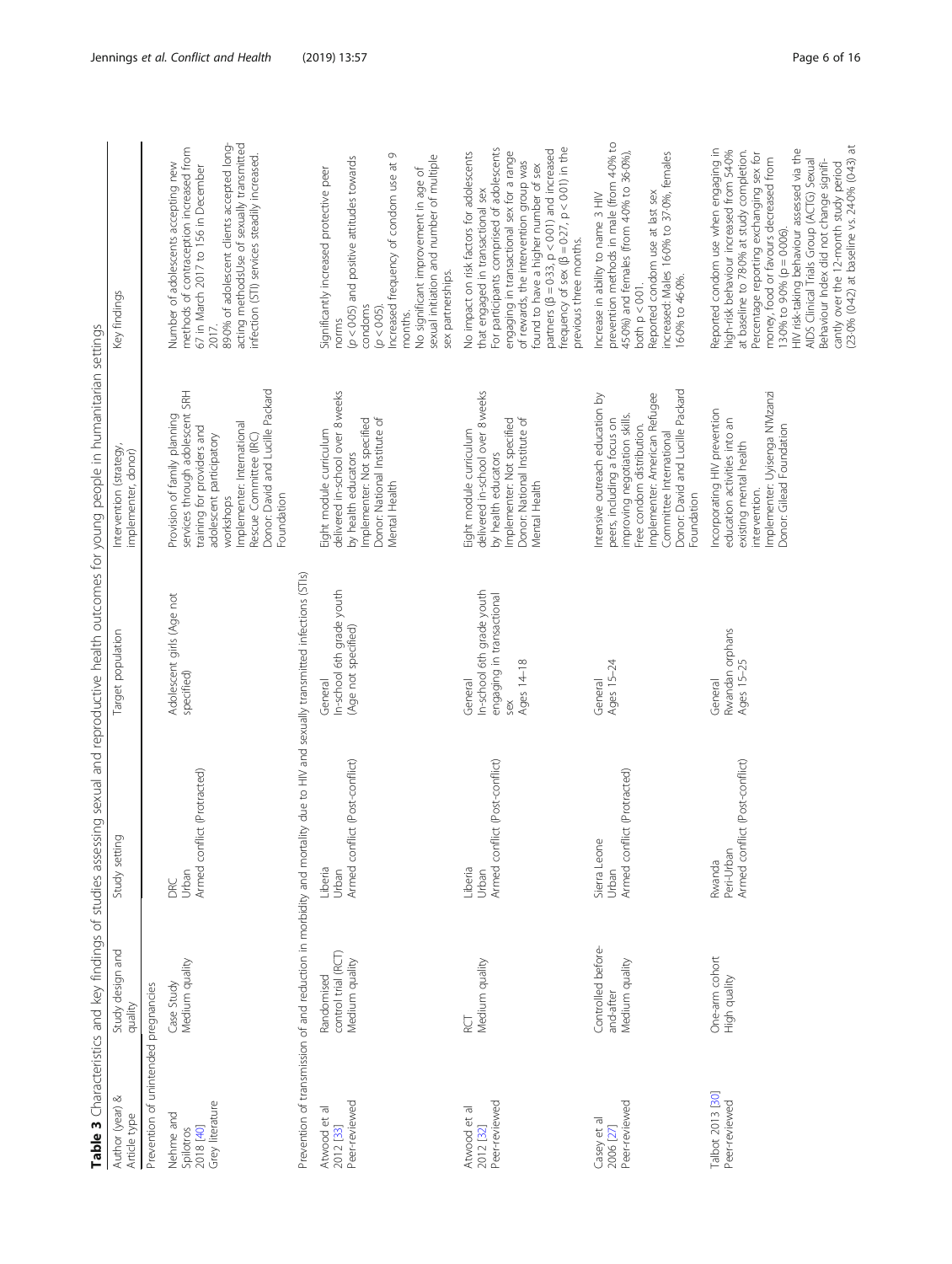|                                                        |                                                     |                                                                                                                              |                                                                                        | Table 3 Characteristics and key findings of studies assessing sexual and reproductive health outcomes for young people in humanitarian settings                                                                                                  |                                                                                                                                                                                                                                                                                                                                                                                                                                                                                    |
|--------------------------------------------------------|-----------------------------------------------------|------------------------------------------------------------------------------------------------------------------------------|----------------------------------------------------------------------------------------|--------------------------------------------------------------------------------------------------------------------------------------------------------------------------------------------------------------------------------------------------|------------------------------------------------------------------------------------------------------------------------------------------------------------------------------------------------------------------------------------------------------------------------------------------------------------------------------------------------------------------------------------------------------------------------------------------------------------------------------------|
| Author (year)<br>Article type                          | Study design and<br>quality                         | Study setting                                                                                                                | Target population                                                                      | Intervention (strategy,<br>implementer, donor)                                                                                                                                                                                                   | Key findings                                                                                                                                                                                                                                                                                                                                                                                                                                                                       |
| Prevention of unintended pregnancies                   |                                                     |                                                                                                                              |                                                                                        |                                                                                                                                                                                                                                                  |                                                                                                                                                                                                                                                                                                                                                                                                                                                                                    |
| Grey literature<br>Nehme and<br>Spilotros<br>2018 [40] | Medium quality<br>Case Study                        | Armed conflict (Protracted)<br>Urban<br>DRC                                                                                  | Adolescent girls (Age not<br>specified)                                                | Donor: David and Lucille Packard<br>services through adolescent SRH<br>Provision of family planning<br>Implementer: International<br>training for providers and<br>adolescent participatory<br>Rescue Committee (IRC)<br>Foundation<br>workshops | acting methodsUse of sexually transmitted<br>89-0% of adolescent clients accepted long-<br>methods of contraception increased from<br>infection (STI) services steadily increased.<br>Number of adolescents accepting new<br>67 in March 2017 to 156 in December<br>2017.                                                                                                                                                                                                          |
|                                                        |                                                     | Prevention of transmission of and reduction in morbidity and mortality due to HIV and sexually transmitted infections (STIs) |                                                                                        |                                                                                                                                                                                                                                                  |                                                                                                                                                                                                                                                                                                                                                                                                                                                                                    |
| Peer-reviewed<br>Atwood et al<br>2012 [33]             | control trial (RCT)<br>Medium quality<br>Randomised | Armed conflict (Post-conflict)<br>Liberia<br>Urban                                                                           | In-school 6th grade youth<br>(Age not specified)<br>General                            | delivered in-school over 8 weeks<br>Donor: National Institute of<br>Implementer: Not specified<br>Eight module curriculum<br>by health educators<br>Mental Health                                                                                | Increased frequency of condom use at 9<br>sexual initiation and number of multiple<br>$(p < 0.05)$ and positive attitudes towards<br>No significant improvement in age of<br>Significantly increased protective peer<br>sex partnerships.<br>condoms<br>(p < 0.05)<br>months.<br>norms                                                                                                                                                                                             |
| Peer-reviewed<br>Atwood et al<br>2012 [32]             | Medium quality<br>ă                                 | Armed conflict (Post-conflict)<br>Liberia<br>Urban                                                                           | In-school 6th grade youth<br>engaging in transactional<br>Ages 14-18<br>General<br>sex | delivered in-school over 8 weeks<br>Donor: National Institute of<br>Implementer: Not specified<br>Eight module curriculum<br>by health educators<br>Mental Health                                                                                | frequency of sex ( $\beta = 0.27$ , $p < 0.01$ ) in the<br>For participants comprised of adolescents<br>partners ( $\beta = 0.33$ , $p < 0.01$ ) and increased<br>engaging in transactional sex for a range<br>No impact on risk factors for adolescents<br>of rewards, the intervention group was<br>found to have a higher number of sex<br>that engaged in transactional sex<br>previous three months.                                                                          |
| Peer-reviewed<br>Casey et al<br>2006 [27]              | Controlled before-<br>Medium quality<br>and-after   | Armed conflict (Protracted)<br>Sierra Leone<br>Urban                                                                         | Ages 15-24<br>General                                                                  | Donor: David and Lucille Packard<br>Implementer: American Refugee<br>Intensive outreach education by<br>improving negotiation skills.<br>peers, including a focus on<br>Free condom distribution.<br>Committee International<br>Foundation       | prevention methods in male (from 4-0% to<br>45.0%) and females (from 4.0% to 36.0%),<br>Reported condom use at last sex<br>increased: Males 160% to 370%, females<br>Increase in ability to name 3 HIV<br>160% to 460%.<br>both $p < 0.01$ .                                                                                                                                                                                                                                       |
| <b>Talbot 2013 [30]</b><br>Peer-reviewed               | One-arm cohort<br>High quality                      | Armed conflict (Post-conflict)<br>Peri-Urban<br>Rwanda                                                                       | Rwandan orphans<br>Ages 15–25<br>General                                               | Implementer: Uyisenga N'Mzanzi<br>Incorporating HIV prevention<br>education activities into an<br>Donor: Gilead Foundation<br>existing mental health<br>intervention.                                                                            | (23-0% (0-42) at baseline vs. 24-0% (0-43) at<br>Reported condom use when engaging in<br>at baseline to 78-0% at study completion.<br>HIV risk-taking behaviour assessed via the<br>high-risk behaviour increased from 54.0%<br>Percentage reporting exchanging sex for<br>money, food or favours decreased from<br>AIDS Clinical Trials Group (ACTG) Sexual<br>Behaviour Index did not change signifi-<br>cantly over the 12-month study period<br>13.0% to 9.0% ( $p = 0.006$ ). |

<span id="page-5-0"></span>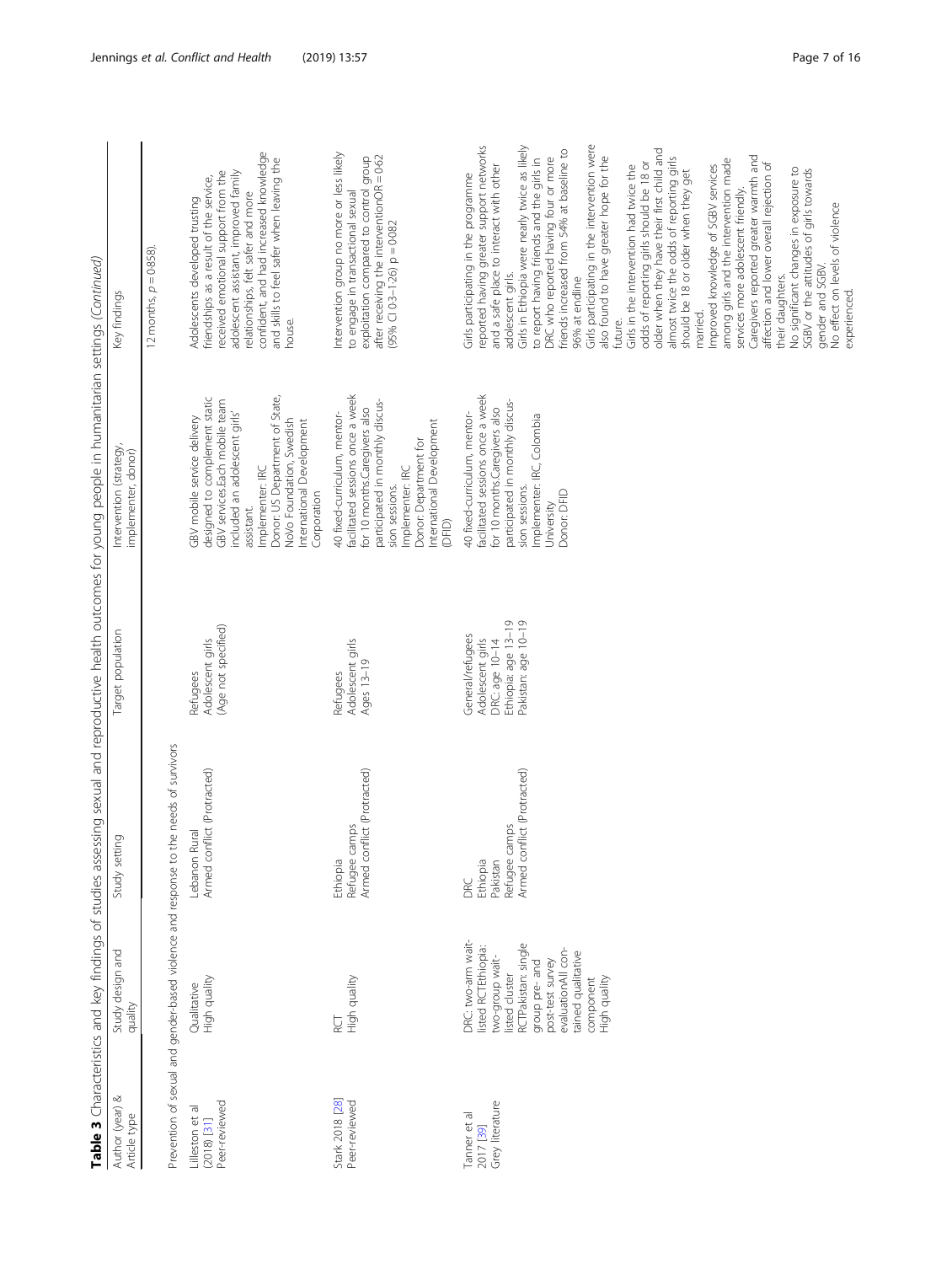|                                                   |                                                                                                                                                                                                                      |                                                                                       |                                                                                                      | Table 3 Characteristics and key findings of studies assessing sexual and reproductive health outcomes for young people in humanitarian settings (Continued)                                                                                                                |                                                                                                                                                                                                                                                                                                                                                                                                                                                                                                                                                                                                                                                                                                                                                                                                                                                                                                                                                                                                                                                                                          |
|---------------------------------------------------|----------------------------------------------------------------------------------------------------------------------------------------------------------------------------------------------------------------------|---------------------------------------------------------------------------------------|------------------------------------------------------------------------------------------------------|----------------------------------------------------------------------------------------------------------------------------------------------------------------------------------------------------------------------------------------------------------------------------|------------------------------------------------------------------------------------------------------------------------------------------------------------------------------------------------------------------------------------------------------------------------------------------------------------------------------------------------------------------------------------------------------------------------------------------------------------------------------------------------------------------------------------------------------------------------------------------------------------------------------------------------------------------------------------------------------------------------------------------------------------------------------------------------------------------------------------------------------------------------------------------------------------------------------------------------------------------------------------------------------------------------------------------------------------------------------------------|
| ∞<br>Author (year)<br>Article type                | Study design and<br>quality                                                                                                                                                                                          | Study setting                                                                         | Target population                                                                                    | Intervention (strategy<br>implementer, donor)                                                                                                                                                                                                                              | Key findings                                                                                                                                                                                                                                                                                                                                                                                                                                                                                                                                                                                                                                                                                                                                                                                                                                                                                                                                                                                                                                                                             |
|                                                   |                                                                                                                                                                                                                      | Prevention of sexual and gender-based violence and response to the needs of survivors |                                                                                                      |                                                                                                                                                                                                                                                                            | $12$ months, $p = 0.858$ )                                                                                                                                                                                                                                                                                                                                                                                                                                                                                                                                                                                                                                                                                                                                                                                                                                                                                                                                                                                                                                                               |
| Peer-reviewed<br>Lilleston et al<br>$(2018)$ [31] | High quality<br>Qualitative                                                                                                                                                                                          | Armed conflict (Protracted)<br>Lebanon Rural                                          | (Age not specified)<br>Adolescent girls<br>Refugees                                                  | Donor: US Department of State,<br>designed to complement static<br>GBV services.Each mobile team<br>included an adolescent girls'<br>GBV mobile service delivery<br>NoVo Foundation, Swedish<br>International Development<br>Implementer: IRC<br>Corporation<br>assistant. | confident, and had increased knowledge<br>and skills to feel safer when leaving the<br>received emotional support from the<br>adolescent assistant, improved family<br>friendships as a result of the service,<br>relationships, felt safer and more<br>Adolescents developed trusting<br>house.                                                                                                                                                                                                                                                                                                                                                                                                                                                                                                                                                                                                                                                                                                                                                                                         |
| Stark 2018 [28]<br>Peer-reviewed                  | High quality<br>ă                                                                                                                                                                                                    | conflict (Protracted)<br>camps<br>Ethiopia<br>Refugee<br>Armed c                      | Adolescent girls<br>Ages 13-19<br>Refugees                                                           | facilitated sessions once a week<br>participated in monthly discus-<br>for 10 months.Caregivers also<br>40 fixed-curriculum, mentor-<br>International Development<br>Donor: Department for<br>Implementer: IRC<br>sion sessions.<br>(DFID)                                 | Intervention group no more or less likely<br>after receiving the interventionOR = $0.62$<br>exploitation compared to control group<br>to engage in transactional sexual<br>$(95\%$ Cl 0-3-1-26) p = 0-082                                                                                                                                                                                                                                                                                                                                                                                                                                                                                                                                                                                                                                                                                                                                                                                                                                                                                |
| Grey literature<br>Tanner et al<br>2017 [39]      | DRC: two-arm wait-<br>RCTPakistan: single<br>listed RCTEthiopia:<br>evaluationAll con-<br>tained qualitative<br>two-group wait-<br>post-test survey<br>group pre- and<br>listed cluster<br>component<br>High quality | Armed conflict (Protracted)<br>camps<br>Ethiopia<br>Pakistan<br>Refugee<br>DRC        | Ethiopia: age 13-19<br>Pakistan: age 10-19<br>General/refugees<br>Adolescent girls<br>DRC: age 10-14 | facilitated sessions once a week<br>participated in monthly discus-<br>for 10 months.Caregivers also<br>40 fixed-curriculum, mentor-<br>Implementer: IRC, Colombia<br>sion sessions.<br>Donor: DFID<br>University                                                          | Girls participating in the intervention were<br>reported having greater support networks<br>Girls in Ethiopia were nearly twice as likely<br>older when they have their first child and<br>DRC who reported having four or more<br>friends increased from 54% at baseline to<br>also found to have greater hope for the<br>Caregivers reported greater warmth and<br>almost twice the odds of reporting girls<br>to report having friends and the girls in<br>among girls and the intervention made<br>odds of reporting girls should be 18 or<br>affection and lower overall rejection of<br>and a safe place to interact with other<br>Improved knowledge of SGBV services<br>Girls in the intervention had twice the<br>No significant changes in exposure to<br>SGBV or the attitudes of girls towards<br>should be 18 or older when they get<br>Girls participating in the programme<br>services more adolescent friendly.<br>No effect on levels of violence<br>gender and SGBV.<br>adolescent girls.<br>their daughters.<br>96% at endline<br>experienced.<br>married.<br>future. |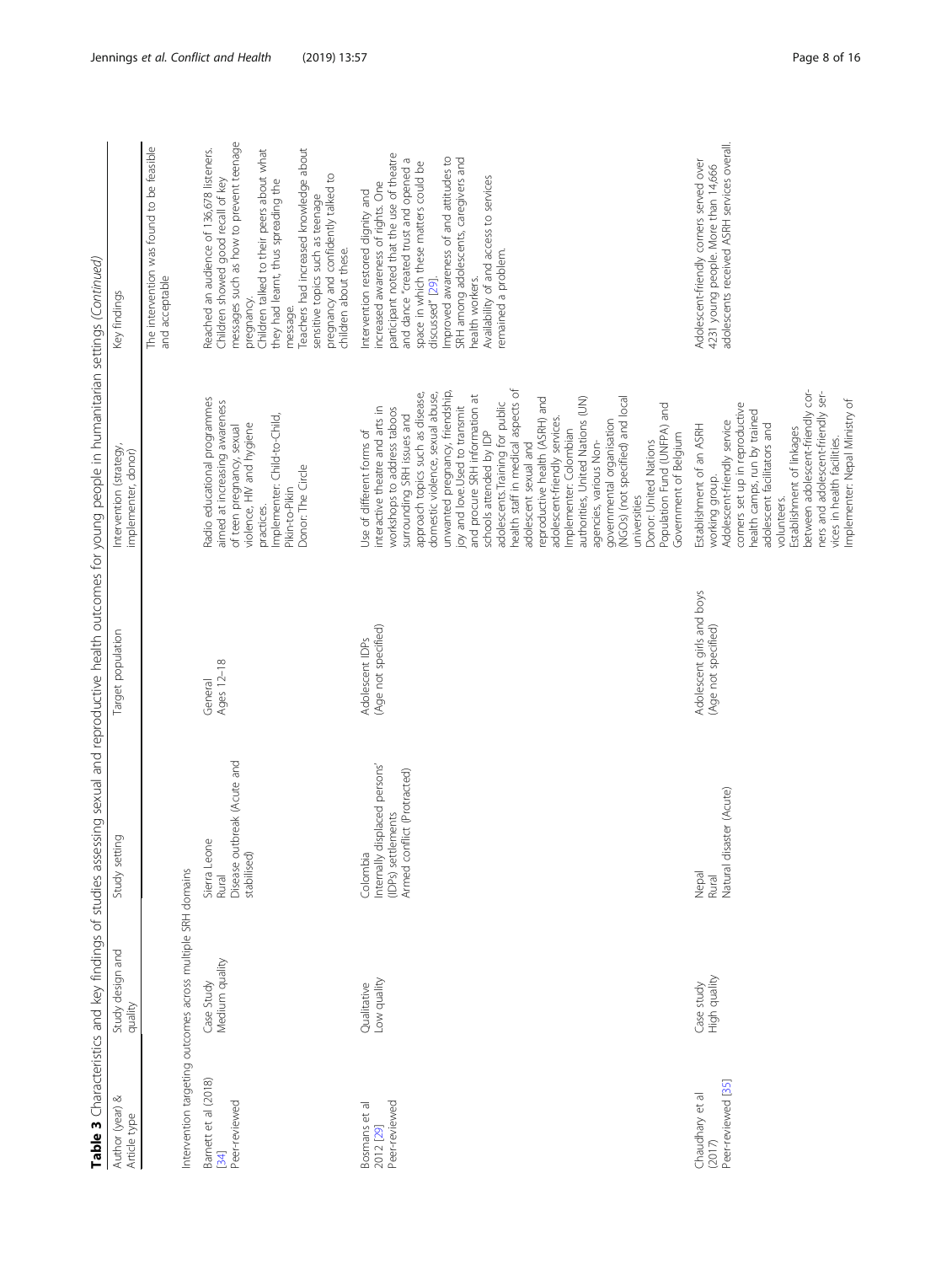|                                                 |                                                                                             |                                                                                                   |                                                  | Table 3 Characteristics and key findings of studies assessing sexual and reproductive health outcomes for young people in humanitarian settings (Continued)   |                                                                                                                                                                                                        |
|-------------------------------------------------|---------------------------------------------------------------------------------------------|---------------------------------------------------------------------------------------------------|--------------------------------------------------|---------------------------------------------------------------------------------------------------------------------------------------------------------------|--------------------------------------------------------------------------------------------------------------------------------------------------------------------------------------------------------|
| ∞<br>Author (year)<br>Article type              | Study design and<br>quality                                                                 | Study setting                                                                                     | Target population                                | Intervention (strategy,<br>implementer, donor)                                                                                                                | Key findings                                                                                                                                                                                           |
|                                                 |                                                                                             |                                                                                                   |                                                  |                                                                                                                                                               | The intervention was found to be feasible<br>and acceptable                                                                                                                                            |
| Barnett et al (2018)<br>Peer-reviewed<br>[34]   | Intervention targeting outcomes across multiple SRH domains<br>Medium quality<br>Case Study | Disease outbreak (Acute and<br>Sierra Leone<br>stabilised)<br>Rural                               | Ages 12-18<br>General                            | Radio educational programmes<br>aimed at increasing awareness<br>violence, HIV and hygiene<br>of teen pregnancy, sexual<br>practices.                         | messages such as how to prevent teenage<br>Reached an audience of 136,678 listeners.<br>Children talked to their peers about what<br>Children showed good recall of key<br>pregnancy.                  |
|                                                 |                                                                                             |                                                                                                   |                                                  | Implementer: Child-to-Child,<br>Donor: The Circle<br>Pikin-to-Pikin                                                                                           | Teachers had increased knowledge about<br>pregnancy and confidently talked to<br>they had learnt, thus spreading the<br>sensitive topics such as teenage<br>children about these.<br>message.          |
| Peer-reviewed<br>Bosmans et al<br>2012 [29]     | Low quality<br>Qualitative                                                                  | displaced persons'<br>Armed conflict (Protracted)<br>(IDPs) settlements<br>Colombia<br>Internally | (Age not specified)<br>Adolescent IDPs           | approach topics such as disease,<br>interactive theatre and arts in<br>workshops to address taboos<br>surrounding SRH issues and<br>Use of different forms of | participant noted that the use of theatre<br>and dance "created trust and opened a<br>space in which these matters could be<br>increased awareness of rights. One<br>Intervention restored dignity and |
|                                                 |                                                                                             |                                                                                                   |                                                  | unwanted pregnancy, friendship,<br>domestic violence, sexual abuse,<br>and procure SRH information at<br>joy and love.Used to transmit                        | Improved awareness of and attitudes to<br>SRH among adolescents, caregivers and<br>health workers.<br>discussed" [29].                                                                                 |
|                                                 |                                                                                             |                                                                                                   |                                                  | health staff in medical aspects of<br>adolescents. Training for public<br>schools attended by IDP<br>adolescent sexual and                                    | Availability of and access to services<br>remained a problem.                                                                                                                                          |
|                                                 |                                                                                             |                                                                                                   |                                                  | reproductive health (ASRH) and<br>authorities, United Nations (UN)<br>adolescent-friendly services.<br>Implementer: Colombian<br>agencies, various Non-       |                                                                                                                                                                                                        |
|                                                 |                                                                                             |                                                                                                   |                                                  | (NGOs) (not specified) and local<br>governmental organisation<br>Donor: United Nations<br>universities                                                        |                                                                                                                                                                                                        |
|                                                 |                                                                                             |                                                                                                   |                                                  | Population Fund (UNFPA) and<br>Government of Belgium                                                                                                          |                                                                                                                                                                                                        |
| Peer-reviewed [35]<br>Chaudhary et al<br>(2017) | High quality<br>Case study                                                                  | Natural disaster (Acute)<br>Nepal<br>Rural                                                        | Adolescent girls and boys<br>(Age not specified) | corners set up in reproductive<br>health camps, run by trained<br>Adolescent-friendly service<br>Establishment of an ASRH<br>working group.                   | adolescents received ASRH services overall.<br>Adolescent-friendly corners served over<br>4231 young people. More than 14,666                                                                          |
|                                                 |                                                                                             |                                                                                                   |                                                  | adolescent facilitators and<br>volunteers.                                                                                                                    |                                                                                                                                                                                                        |
|                                                 |                                                                                             |                                                                                                   |                                                  | between adolescent-friendly cor-<br>ners and adolescent-friendly ser-<br>Establishment of linkages<br>vices in health facilities.                             |                                                                                                                                                                                                        |
|                                                 |                                                                                             |                                                                                                   |                                                  | Implementer: Nepal Ministry of                                                                                                                                |                                                                                                                                                                                                        |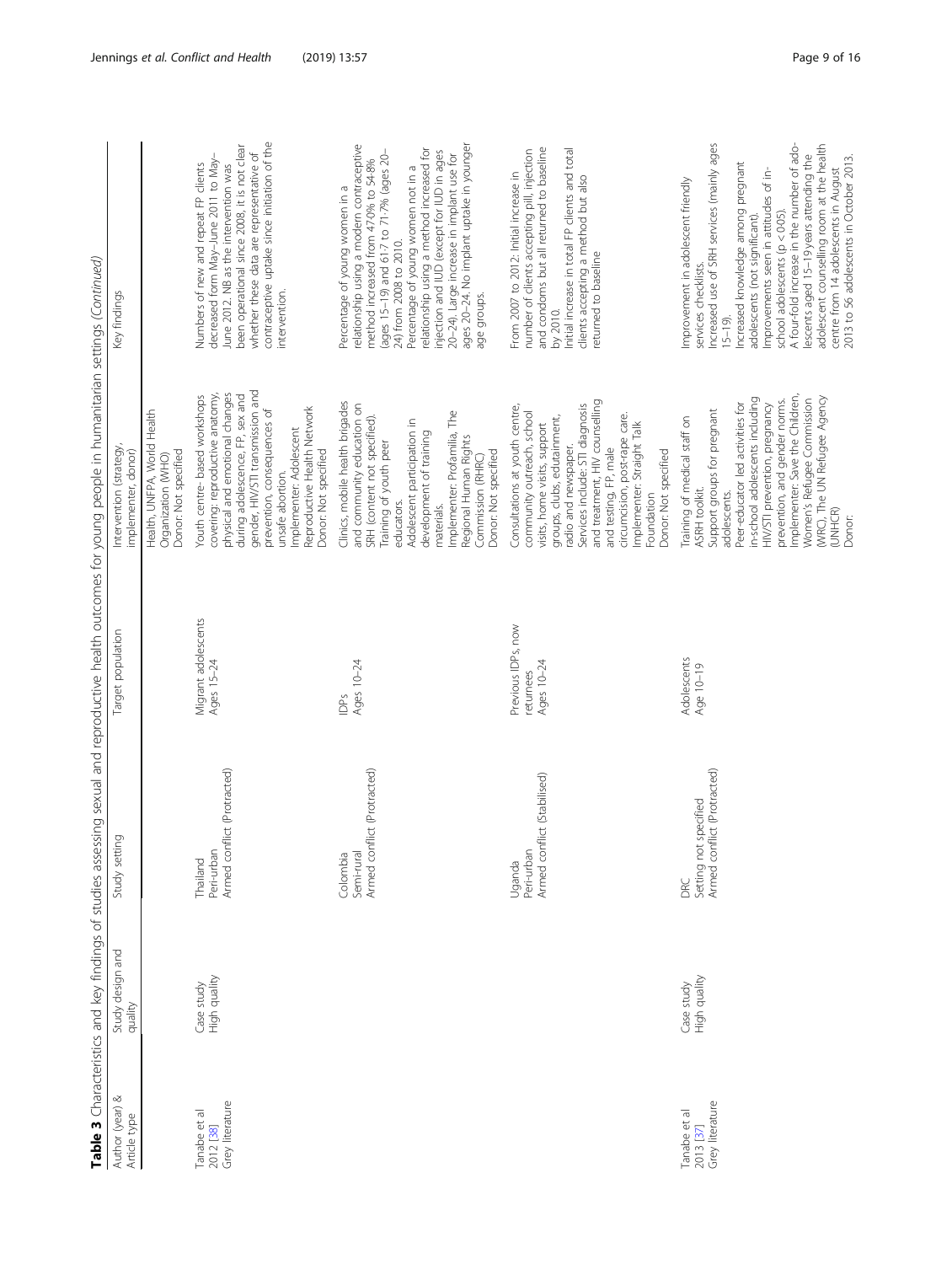| Author (year) &                              | Study design and           | Study setting                                              | Target population                             | Table 3 Characteristics and key findings of studies assessing sexual and reproductive health outcomes for young people in humanitarian settings (Continued)<br>Intervention (strategy                                                                                                                                                                        | Key findings                                                                                                                                                                                                                                                                                                                                                                                                                                                                                        |
|----------------------------------------------|----------------------------|------------------------------------------------------------|-----------------------------------------------|--------------------------------------------------------------------------------------------------------------------------------------------------------------------------------------------------------------------------------------------------------------------------------------------------------------------------------------------------------------|-----------------------------------------------------------------------------------------------------------------------------------------------------------------------------------------------------------------------------------------------------------------------------------------------------------------------------------------------------------------------------------------------------------------------------------------------------------------------------------------------------|
| Article type                                 | quality                    |                                                            |                                               | implementer, donor)                                                                                                                                                                                                                                                                                                                                          |                                                                                                                                                                                                                                                                                                                                                                                                                                                                                                     |
|                                              |                            |                                                            |                                               | Health, UNFPA, World Health<br>Donor: Not specified<br>Organization (WHO)                                                                                                                                                                                                                                                                                    |                                                                                                                                                                                                                                                                                                                                                                                                                                                                                                     |
| Grey literature<br>Tanabe et al<br>2012 [38] | High quality<br>Case study | Armed conflict (Protracted)<br>Peri-urbar<br>Thailand      | Migrant adolescents<br>Ages 15-24             | gender, HIV/STI transmission and<br>physical and emotional changes<br>covering: reproductive anatomy,<br>during adolescence, FP, sex and<br>Youth centre-based workshops<br>Reproductive Health Network<br>prevention, consequences of<br>Implementer: Adolescent<br>Donor: Not specified<br>unsafe abortion.                                                | contraceptive uptake since initiation of the<br>been operational since 2008, it is not clear<br>whether these data are representative of<br>decreased form May-June 2011 to May-<br>Numbers of new and repeat FP clients<br>June 2012. NB as the intervention was<br>intervention.                                                                                                                                                                                                                  |
|                                              |                            | Armed conflict (Protracted)<br>Colombia<br>Semi-rura       | Ages 10-24<br>ěQ                              | Clinics, mobile health brigades<br>and community education on<br>Implementer: Profamilia, The<br>SRH (content not specified).<br>Adolescent participation in<br>development of training<br>Regional Human Rights<br>Training of youth peer<br>Donor: Not specified<br>Commission (RHRC)<br>educators.<br>materials.                                          | ages 20-24. No implant uptake in younger<br>relationship using a modern contraceptive<br>relationship using a method increased for<br>injection and IUD (except for IUD in ages<br>(ages 15-19) and 61-7 to 71-7% (ages 20-<br>20-24). Large increase in implant use for<br>method increased from 47.0% to 54.8%<br>Percentage of young women not in a<br>Percentage of young women in a<br>24) from 2008 to 2010.<br>age groups.                                                                   |
|                                              |                            | Armed conflict (Stabilised)<br>Peri-urban<br>Uganda        | Previous IDPs, now<br>Ages 10-24<br>returnees | and treatment, HIV counselling<br>Services include: STI diagnosis<br>Consultations at youth centre,<br>community outreach, school<br>circumcision, post-rape care.<br>groups, clubs, edutainment,<br>Implementer: Straight Talk<br>visits, home visits, support<br>radio and newspaper.<br>and testing, FP, male<br>Donor: Not specified<br>Foundation       | and condoms but all returned to baseline<br>number of clients accepting pill, injection<br>Initial increase in total FP clients and total<br>From 2007 to 2012: Initial increase in<br>clients accepting a method but also<br>returned to baseline<br>by 2010.                                                                                                                                                                                                                                      |
| Grey literature<br>Tanabe et al<br>2013 [37] | High quality<br>Case study | Armed conflict (Protracted)<br>Setting not specified<br>BE | Adolescents<br>Age 10-19                      | Implementer: Save the Children,<br>(V/RC), The UN Refugee Agency<br>in-school adolescents including<br>prevention, and gender norms.<br>Women's Refugee Commission<br>Peer-educator led activities for<br>HIV/STI prevention, pregnancy<br>Support groups for pregnant<br>Training of medical staff on<br>ASRH toolkit.<br>adolescents.<br>(UNHCR)<br>Donor: | Increased use of SRH services (mainly ages<br>A four-fold increase in the number of ado-<br>adolescent counselling room at the health<br>lescents aged 15-19 years attending the<br>2013 to 56 adolescents in October 2013.<br>Increased knowledge among pregnant<br>Improvements seen in attitudes of in-<br>centre from 14 adolescents in August<br>Improvement in adolescent friendly<br>school adolescents (p < 0.05).<br>adolescents (not significant).<br>services checklists.<br>$15 - 19$ . |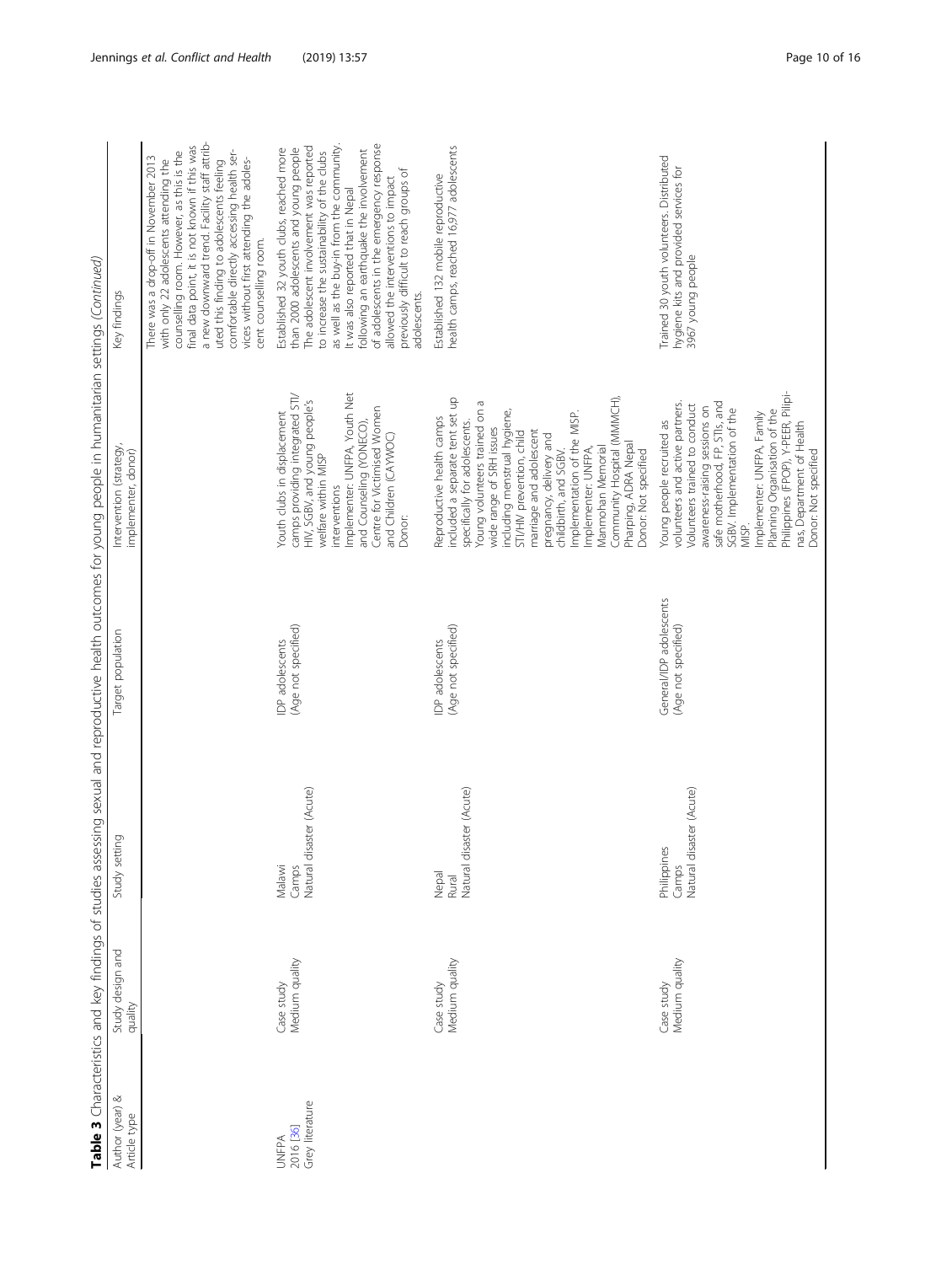| Author (year) &<br>Article type              | Study design and<br>quality  | $\overline{C}$<br>Study settin                   | Target population                              | Intervention (strategy,<br>implementer, donor)                                                                                                                                                                                                                                                                                                                                                                                                                   | Table 3 Characteristics and key findings of studies assessing sexual and reproductive health outcomes for young people in humanitarian settings (Continued)<br>Key findings                                                                                                                                                                                                                                                                              |
|----------------------------------------------|------------------------------|--------------------------------------------------|------------------------------------------------|------------------------------------------------------------------------------------------------------------------------------------------------------------------------------------------------------------------------------------------------------------------------------------------------------------------------------------------------------------------------------------------------------------------------------------------------------------------|----------------------------------------------------------------------------------------------------------------------------------------------------------------------------------------------------------------------------------------------------------------------------------------------------------------------------------------------------------------------------------------------------------------------------------------------------------|
|                                              |                              |                                                  |                                                |                                                                                                                                                                                                                                                                                                                                                                                                                                                                  | a new downward trend. Facility staff attrib-<br>final data point, it is not known if this was<br>comfortable directly accessing health ser-<br>counselling room. However, as this is the<br>There was a drop-off in November 2013<br>vices without first attending the adoles-<br>with only 22 adolescents attending the<br>uted this finding to adolescents feeling<br>cent counselling room.                                                           |
| Grey literature<br>2016 [36]<br><b>UNFPA</b> | Medium quality<br>Case study | Camps<br>Natural disaster (Acute)<br>Malawi      | (Age not specified)<br>IDP adolescents         | Implementer: UNFPA, Youth Net<br>camps providing integrated STI/<br>HIV, SGBV, and young people's<br>Centre for Victimised Women<br>Youth clubs in displacement<br>and Counseling (YONECO),<br>and Children (CAYWOC)<br>welfare within MISP<br>interventions<br>Donor:                                                                                                                                                                                           | of adolescents in the emergency response<br>as well as the buy-in from the community.<br>The adolescent involvement was reported<br>Established 32 youth clubs, reached more<br>than 2000 adolescents and young people<br>following an earthquake the involvement<br>to increase the sustainability of the clubs<br>previously difficult to reach groups of<br>allowed the interventions to impact<br>It was also reported that in Nepal<br>adolescents. |
|                                              | Medium quality<br>Case study | Natural disaster (Acute)<br>Nepal<br>Rural       | (Age not specified)<br>IDP adolescents         | included a separate tent set up<br>Community Hospital (MMMCH),<br>Young volunteers trained on a<br>including menstrual hygiene,<br>Implementation of the MISP.<br>Reproductive health camps<br>specifically for adolescents.<br>wide range of SRH issues<br>marriage and adolescent<br>STI/HIV prevention, child<br>pregnancy, delivery and<br>Pharping, ADRA Nepal<br>Manmohan Memorial<br>Implementer: UNFPA,<br>Donor: Not specified<br>childbirth, and SGBV. | health camps, reached 16,977 adolescents<br>Established 132 mobile reproductive                                                                                                                                                                                                                                                                                                                                                                          |
|                                              | Medium quality<br>Case study | Natural disaster (Acute)<br>Philippines<br>Camps | General/IDP adolescents<br>(Age not specified) | Philippines (FPOP), Y-PEER, Pilipi-<br>safe motherhood, FP, STIs, and<br>volunteers and active partners.<br>Volunteers trained to conduct<br>awareness-raising sessions on<br>SGBV. Implementation of the<br>Planning Organisation of the<br>Implementer: UNFPA, Family<br>Young people recruited as<br>nas, Department of Health<br>Donor: Not specified<br>MISP.                                                                                               | Trained 30 youth volunteers. Distributed<br>hygiene kits and provided services for<br>3967 young people                                                                                                                                                                                                                                                                                                                                                  |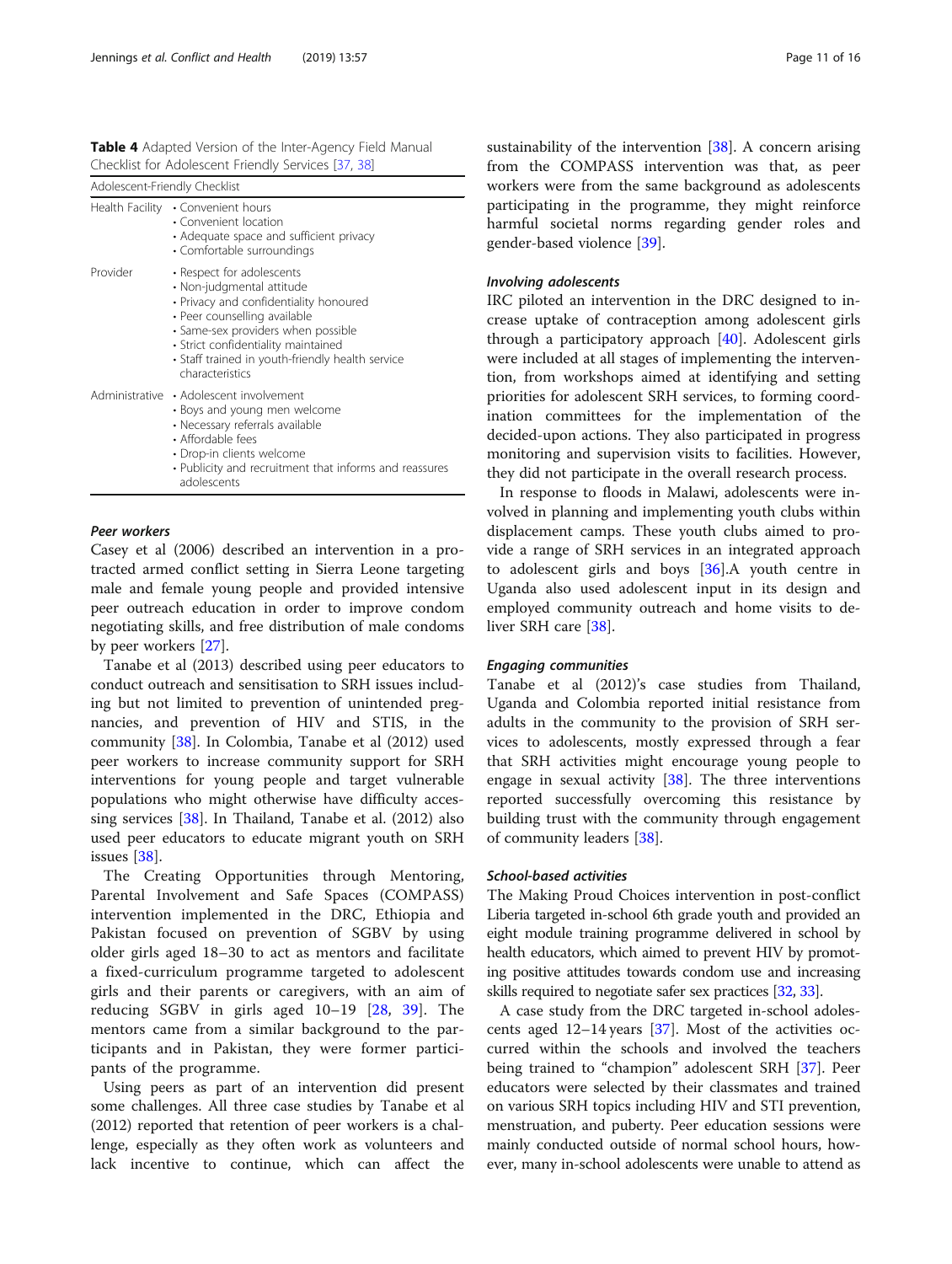<span id="page-10-0"></span>Table 4 Adapted Version of the Inter-Agency Field Manual Checklist for Adolescent Friendly Services [[37](#page-14-0), [38](#page-14-0)]

| Adolescent-Friendly Checklist |                                                                                                                                                                                                                                                                                      |
|-------------------------------|--------------------------------------------------------------------------------------------------------------------------------------------------------------------------------------------------------------------------------------------------------------------------------------|
| Health Facility               | • Convenient hours<br>• Convenient location<br>• Adequate space and sufficient privacy<br>• Comfortable surroundings                                                                                                                                                                 |
| Provider                      | • Respect for adolescents<br>• Non-judgmental attitude<br>• Privacy and confidentiality honoured<br>· Peer counselling available<br>· Same-sex providers when possible<br>· Strict confidentiality maintained<br>· Staff trained in youth-friendly health service<br>characteristics |
|                               | Administrative • Adolescent involvement<br>• Boys and young men welcome<br>• Necessary referrals available<br>• Affordable fees<br>• Drop-in clients welcome<br>• Publicity and recruitment that informs and reassures<br>adolescents                                                |
|                               |                                                                                                                                                                                                                                                                                      |

#### Peer workers

Casey et al (2006) described an intervention in a protracted armed conflict setting in Sierra Leone targeting male and female young people and provided intensive peer outreach education in order to improve condom negotiating skills, and free distribution of male condoms by peer workers [\[27](#page-14-0)].

Tanabe et al (2013) described using peer educators to conduct outreach and sensitisation to SRH issues including but not limited to prevention of unintended pregnancies, and prevention of HIV and STIS, in the community [\[38](#page-14-0)]. In Colombia, Tanabe et al (2012) used peer workers to increase community support for SRH interventions for young people and target vulnerable populations who might otherwise have difficulty accessing services [[38\]](#page-14-0). In Thailand, Tanabe et al. (2012) also used peer educators to educate migrant youth on SRH issues [\[38](#page-14-0)].

The Creating Opportunities through Mentoring, Parental Involvement and Safe Spaces (COMPASS) intervention implemented in the DRC, Ethiopia and Pakistan focused on prevention of SGBV by using older girls aged 18–30 to act as mentors and facilitate a fixed-curriculum programme targeted to adolescent girls and their parents or caregivers, with an aim of reducing SGBV in girls aged 10–19 [[28,](#page-14-0) [39\]](#page-14-0). The mentors came from a similar background to the participants and in Pakistan, they were former participants of the programme.

Using peers as part of an intervention did present some challenges. All three case studies by Tanabe et al (2012) reported that retention of peer workers is a challenge, especially as they often work as volunteers and lack incentive to continue, which can affect the sustainability of the intervention [[38\]](#page-14-0). A concern arising from the COMPASS intervention was that, as peer workers were from the same background as adolescents participating in the programme, they might reinforce harmful societal norms regarding gender roles and gender-based violence [\[39](#page-14-0)].

#### Involving adolescents

IRC piloted an intervention in the DRC designed to increase uptake of contraception among adolescent girls through a participatory approach [\[40\]](#page-14-0). Adolescent girls were included at all stages of implementing the intervention, from workshops aimed at identifying and setting priorities for adolescent SRH services, to forming coordination committees for the implementation of the decided-upon actions. They also participated in progress monitoring and supervision visits to facilities. However, they did not participate in the overall research process.

In response to floods in Malawi, adolescents were involved in planning and implementing youth clubs within displacement camps. These youth clubs aimed to provide a range of SRH services in an integrated approach to adolescent girls and boys [[36\]](#page-14-0).A youth centre in Uganda also used adolescent input in its design and employed community outreach and home visits to deliver SRH care [[38\]](#page-14-0).

#### Engaging communities

Tanabe et al (2012)'s case studies from Thailand, Uganda and Colombia reported initial resistance from adults in the community to the provision of SRH services to adolescents, mostly expressed through a fear that SRH activities might encourage young people to engage in sexual activity [[38\]](#page-14-0). The three interventions reported successfully overcoming this resistance by building trust with the community through engagement of community leaders [[38\]](#page-14-0).

#### School-based activities

The Making Proud Choices intervention in post-conflict Liberia targeted in-school 6th grade youth and provided an eight module training programme delivered in school by health educators, which aimed to prevent HIV by promoting positive attitudes towards condom use and increasing skills required to negotiate safer sex practices [[32](#page-14-0), [33](#page-14-0)].

A case study from the DRC targeted in-school adolescents aged 12–14 years [[37\]](#page-14-0). Most of the activities occurred within the schools and involved the teachers being trained to "champion" adolescent SRH [\[37](#page-14-0)]. Peer educators were selected by their classmates and trained on various SRH topics including HIV and STI prevention, menstruation, and puberty. Peer education sessions were mainly conducted outside of normal school hours, however, many in-school adolescents were unable to attend as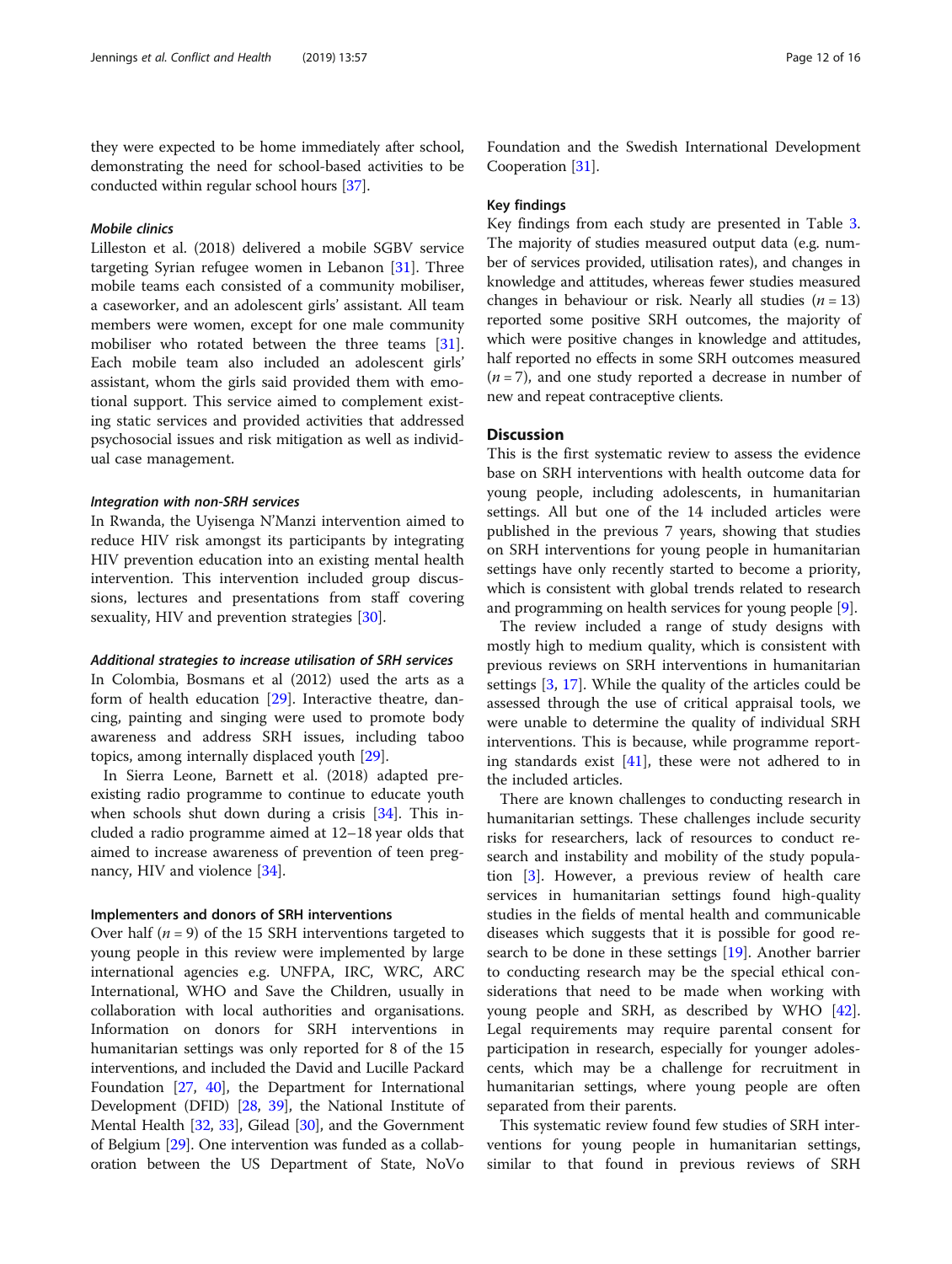they were expected to be home immediately after school, demonstrating the need for school-based activities to be conducted within regular school hours [[37](#page-14-0)].

# Mobile clinics

Lilleston et al. (2018) delivered a mobile SGBV service targeting Syrian refugee women in Lebanon [\[31](#page-14-0)]. Three mobile teams each consisted of a community mobiliser, a caseworker, and an adolescent girls' assistant. All team members were women, except for one male community mobiliser who rotated between the three teams [\[31](#page-14-0)]. Each mobile team also included an adolescent girls' assistant, whom the girls said provided them with emotional support. This service aimed to complement existing static services and provided activities that addressed psychosocial issues and risk mitigation as well as individual case management.

# Integration with non-SRH services

In Rwanda, the Uyisenga N'Manzi intervention aimed to reduce HIV risk amongst its participants by integrating HIV prevention education into an existing mental health intervention. This intervention included group discussions, lectures and presentations from staff covering sexuality, HIV and prevention strategies [[30](#page-14-0)].

#### Additional strategies to increase utilisation of SRH services

In Colombia, Bosmans et al (2012) used the arts as a form of health education [[29\]](#page-14-0). Interactive theatre, dancing, painting and singing were used to promote body awareness and address SRH issues, including taboo topics, among internally displaced youth [\[29](#page-14-0)].

In Sierra Leone, Barnett et al. (2018) adapted preexisting radio programme to continue to educate youth when schools shut down during a crisis [\[34](#page-14-0)]. This included a radio programme aimed at 12–18 year olds that aimed to increase awareness of prevention of teen pregnancy, HIV and violence [[34\]](#page-14-0).

# Implementers and donors of SRH interventions

Over half ( $n = 9$ ) of the 15 SRH interventions targeted to young people in this review were implemented by large international agencies e.g. UNFPA, IRC, WRC, ARC International, WHO and Save the Children, usually in collaboration with local authorities and organisations. Information on donors for SRH interventions in humanitarian settings was only reported for 8 of the 15 interventions, and included the David and Lucille Packard Foundation [\[27](#page-14-0), [40](#page-14-0)], the Department for International Development (DFID) [\[28](#page-14-0), [39\]](#page-14-0), the National Institute of Mental Health [[32,](#page-14-0) [33\]](#page-14-0), Gilead [\[30](#page-14-0)], and the Government of Belgium [[29](#page-14-0)]. One intervention was funded as a collaboration between the US Department of State, NoVo Foundation and the Swedish International Development Cooperation [\[31\]](#page-14-0).

#### Key findings

Key findings from each study are presented in Table [3](#page-5-0). The majority of studies measured output data (e.g. number of services provided, utilisation rates), and changes in knowledge and attitudes, whereas fewer studies measured changes in behaviour or risk. Nearly all studies  $(n = 13)$ reported some positive SRH outcomes, the majority of which were positive changes in knowledge and attitudes, half reported no effects in some SRH outcomes measured  $(n = 7)$ , and one study reported a decrease in number of new and repeat contraceptive clients.

# **Discussion**

This is the first systematic review to assess the evidence base on SRH interventions with health outcome data for young people, including adolescents, in humanitarian settings. All but one of the 14 included articles were published in the previous 7 years, showing that studies on SRH interventions for young people in humanitarian settings have only recently started to become a priority, which is consistent with global trends related to research and programming on health services for young people [[9](#page-14-0)].

The review included a range of study designs with mostly high to medium quality, which is consistent with previous reviews on SRH interventions in humanitarian settings [[3,](#page-14-0) [17\]](#page-14-0). While the quality of the articles could be assessed through the use of critical appraisal tools, we were unable to determine the quality of individual SRH interventions. This is because, while programme reporting standards exist  $[41]$  $[41]$ , these were not adhered to in the included articles.

There are known challenges to conducting research in humanitarian settings. These challenges include security risks for researchers, lack of resources to conduct research and instability and mobility of the study population [\[3](#page-14-0)]. However, a previous review of health care services in humanitarian settings found high-quality studies in the fields of mental health and communicable diseases which suggests that it is possible for good research to be done in these settings [\[19\]](#page-14-0). Another barrier to conducting research may be the special ethical considerations that need to be made when working with young people and SRH, as described by WHO [\[42](#page-14-0)]. Legal requirements may require parental consent for participation in research, especially for younger adolescents, which may be a challenge for recruitment in humanitarian settings, where young people are often separated from their parents.

This systematic review found few studies of SRH interventions for young people in humanitarian settings, similar to that found in previous reviews of SRH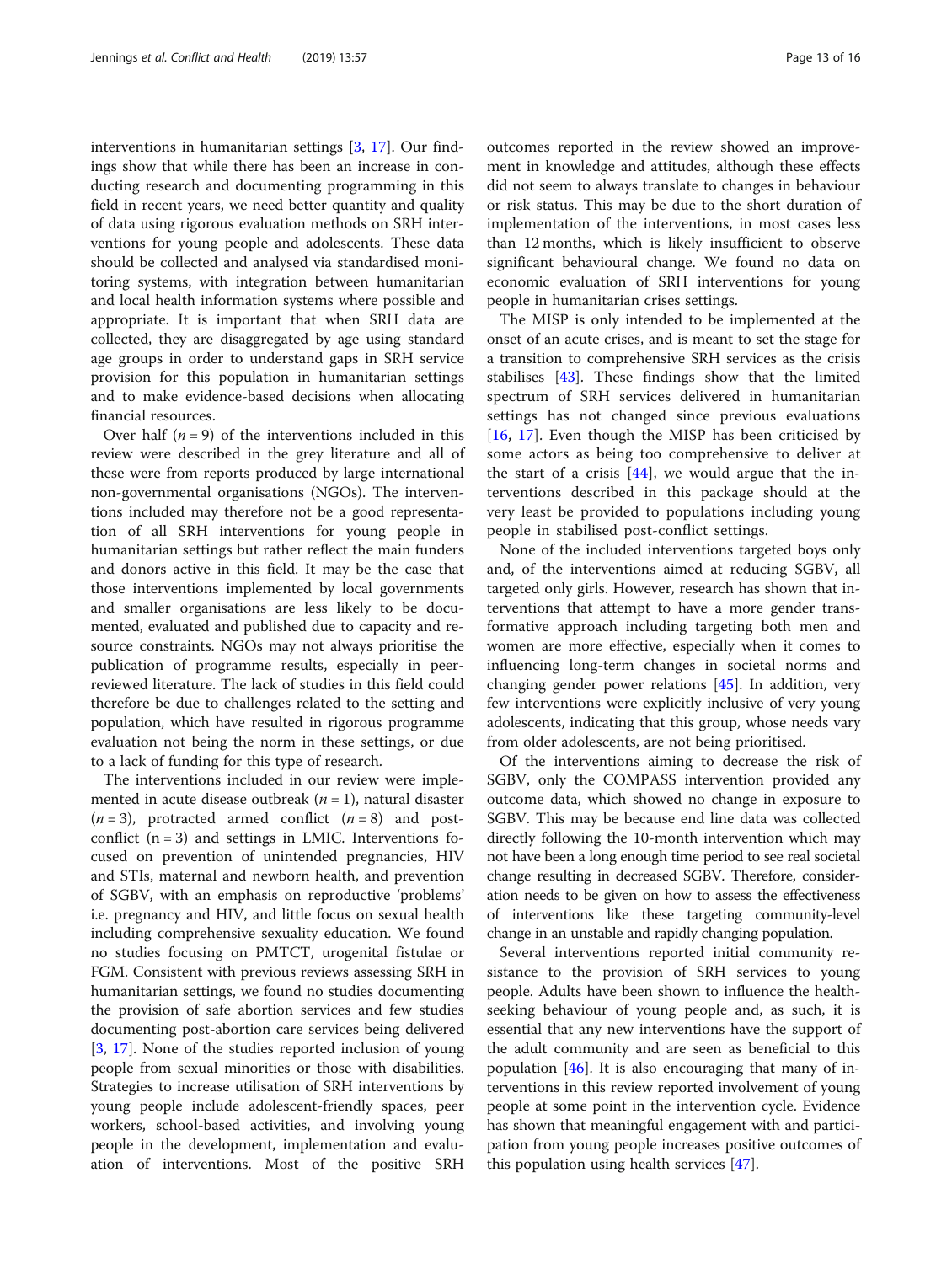interventions in humanitarian settings [\[3](#page-14-0), [17\]](#page-14-0). Our findings show that while there has been an increase in conducting research and documenting programming in this field in recent years, we need better quantity and quality of data using rigorous evaluation methods on SRH interventions for young people and adolescents. These data should be collected and analysed via standardised monitoring systems, with integration between humanitarian and local health information systems where possible and appropriate. It is important that when SRH data are collected, they are disaggregated by age using standard age groups in order to understand gaps in SRH service provision for this population in humanitarian settings and to make evidence-based decisions when allocating financial resources.

Over half  $(n = 9)$  of the interventions included in this review were described in the grey literature and all of these were from reports produced by large international non-governmental organisations (NGOs). The interventions included may therefore not be a good representation of all SRH interventions for young people in humanitarian settings but rather reflect the main funders and donors active in this field. It may be the case that those interventions implemented by local governments and smaller organisations are less likely to be documented, evaluated and published due to capacity and resource constraints. NGOs may not always prioritise the publication of programme results, especially in peerreviewed literature. The lack of studies in this field could therefore be due to challenges related to the setting and population, which have resulted in rigorous programme evaluation not being the norm in these settings, or due to a lack of funding for this type of research.

The interventions included in our review were implemented in acute disease outbreak ( $n = 1$ ), natural disaster  $(n = 3)$ , protracted armed conflict  $(n = 8)$  and postconflict  $(n = 3)$  and settings in LMIC. Interventions focused on prevention of unintended pregnancies, HIV and STIs, maternal and newborn health, and prevention of SGBV, with an emphasis on reproductive 'problems' i.e. pregnancy and HIV, and little focus on sexual health including comprehensive sexuality education. We found no studies focusing on PMTCT, urogenital fistulae or FGM. Consistent with previous reviews assessing SRH in humanitarian settings, we found no studies documenting the provision of safe abortion services and few studies documenting post-abortion care services being delivered [[3,](#page-14-0) [17](#page-14-0)]. None of the studies reported inclusion of young people from sexual minorities or those with disabilities. Strategies to increase utilisation of SRH interventions by young people include adolescent-friendly spaces, peer workers, school-based activities, and involving young people in the development, implementation and evaluation of interventions. Most of the positive SRH outcomes reported in the review showed an improvement in knowledge and attitudes, although these effects did not seem to always translate to changes in behaviour or risk status. This may be due to the short duration of implementation of the interventions, in most cases less than 12 months, which is likely insufficient to observe significant behavioural change. We found no data on economic evaluation of SRH interventions for young people in humanitarian crises settings.

The MISP is only intended to be implemented at the onset of an acute crises, and is meant to set the stage for a transition to comprehensive SRH services as the crisis stabilises [\[43](#page-14-0)]. These findings show that the limited spectrum of SRH services delivered in humanitarian settings has not changed since previous evaluations [[16,](#page-14-0) [17](#page-14-0)]. Even though the MISP has been criticised by some actors as being too comprehensive to deliver at the start of a crisis  $[44]$  $[44]$ , we would argue that the interventions described in this package should at the very least be provided to populations including young people in stabilised post-conflict settings.

None of the included interventions targeted boys only and, of the interventions aimed at reducing SGBV, all targeted only girls. However, research has shown that interventions that attempt to have a more gender transformative approach including targeting both men and women are more effective, especially when it comes to influencing long-term changes in societal norms and changing gender power relations [[45](#page-14-0)]. In addition, very few interventions were explicitly inclusive of very young adolescents, indicating that this group, whose needs vary from older adolescents, are not being prioritised.

Of the interventions aiming to decrease the risk of SGBV, only the COMPASS intervention provided any outcome data, which showed no change in exposure to SGBV. This may be because end line data was collected directly following the 10-month intervention which may not have been a long enough time period to see real societal change resulting in decreased SGBV. Therefore, consideration needs to be given on how to assess the effectiveness of interventions like these targeting community-level change in an unstable and rapidly changing population.

Several interventions reported initial community resistance to the provision of SRH services to young people. Adults have been shown to influence the healthseeking behaviour of young people and, as such, it is essential that any new interventions have the support of the adult community and are seen as beneficial to this population  $[46]$  $[46]$ . It is also encouraging that many of interventions in this review reported involvement of young people at some point in the intervention cycle. Evidence has shown that meaningful engagement with and participation from young people increases positive outcomes of this population using health services [[47\]](#page-15-0).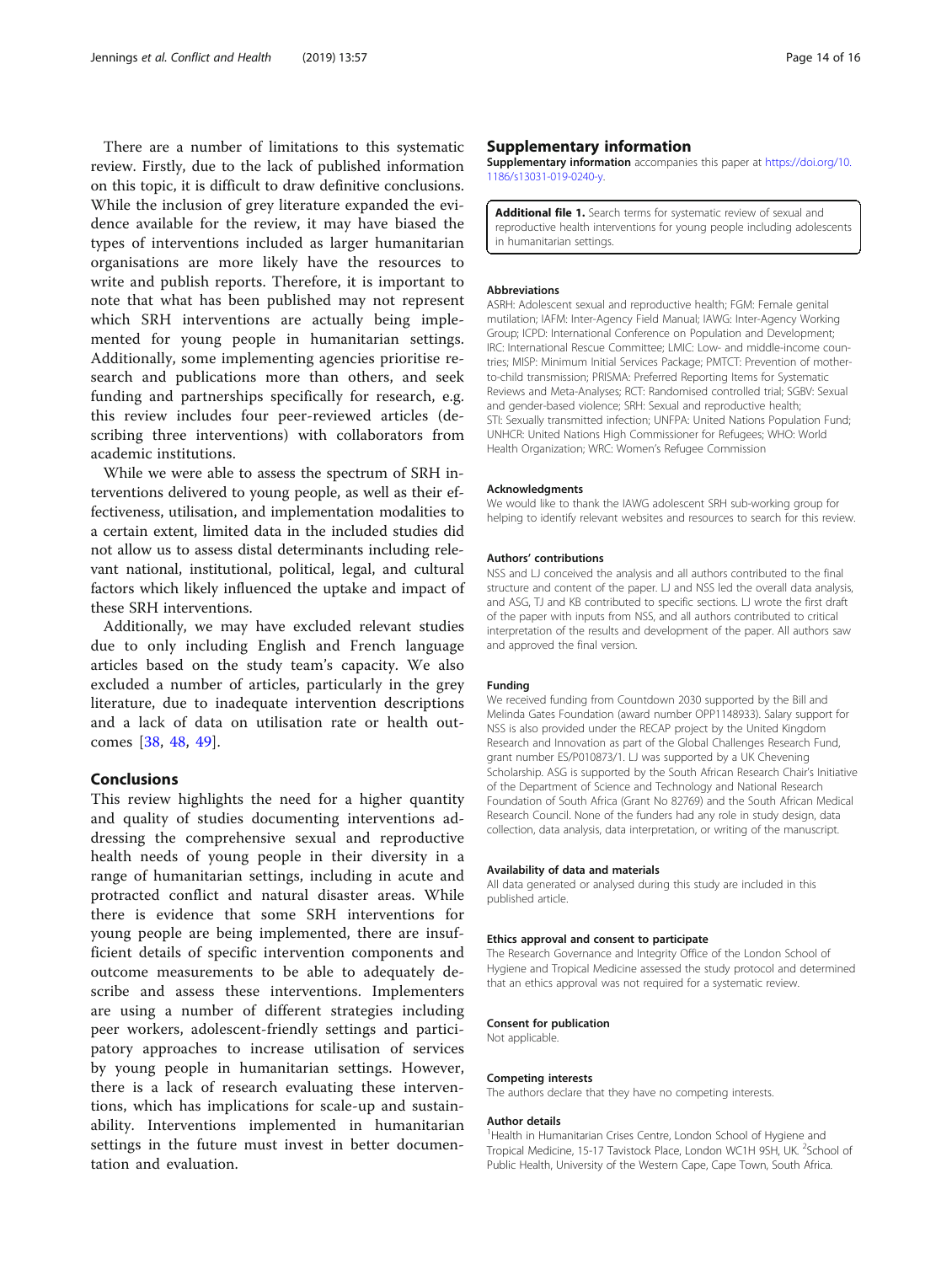<span id="page-13-0"></span>There are a number of limitations to this systematic review. Firstly, due to the lack of published information on this topic, it is difficult to draw definitive conclusions. While the inclusion of grey literature expanded the evidence available for the review, it may have biased the types of interventions included as larger humanitarian organisations are more likely have the resources to write and publish reports. Therefore, it is important to note that what has been published may not represent which SRH interventions are actually being implemented for young people in humanitarian settings. Additionally, some implementing agencies prioritise research and publications more than others, and seek funding and partnerships specifically for research, e.g. this review includes four peer-reviewed articles (describing three interventions) with collaborators from academic institutions.

While we were able to assess the spectrum of SRH interventions delivered to young people, as well as their effectiveness, utilisation, and implementation modalities to a certain extent, limited data in the included studies did not allow us to assess distal determinants including relevant national, institutional, political, legal, and cultural factors which likely influenced the uptake and impact of these SRH interventions.

Additionally, we may have excluded relevant studies due to only including English and French language articles based on the study team's capacity. We also excluded a number of articles, particularly in the grey literature, due to inadequate intervention descriptions and a lack of data on utilisation rate or health outcomes [\[38](#page-14-0), [48](#page-15-0), [49](#page-15-0)].

# Conclusions

This review highlights the need for a higher quantity and quality of studies documenting interventions addressing the comprehensive sexual and reproductive health needs of young people in their diversity in a range of humanitarian settings, including in acute and protracted conflict and natural disaster areas. While there is evidence that some SRH interventions for young people are being implemented, there are insufficient details of specific intervention components and outcome measurements to be able to adequately describe and assess these interventions. Implementers are using a number of different strategies including peer workers, adolescent-friendly settings and participatory approaches to increase utilisation of services by young people in humanitarian settings. However, there is a lack of research evaluating these interventions, which has implications for scale-up and sustainability. Interventions implemented in humanitarian settings in the future must invest in better documentation and evaluation.

### Supplementary information

Supplementary information accompanies this paper at [https://doi.org/10.](https://doi.org/10.1186/s13031-019-0240-y) [1186/s13031-019-0240-y](https://doi.org/10.1186/s13031-019-0240-y).

Additional file 1. Search terms for systematic review of sexual and reproductive health interventions for young people including adolescents in humanitarian settings.

#### Abbreviations

ASRH: Adolescent sexual and reproductive health; FGM: Female genital mutilation; IAFM: Inter-Agency Field Manual; IAWG: Inter-Agency Working Group; ICPD: International Conference on Population and Development; IRC: International Rescue Committee; LMIC: Low- and middle-income countries; MISP: Minimum Initial Services Package; PMTCT: Prevention of motherto-child transmission; PRISMA: Preferred Reporting Items for Systematic Reviews and Meta-Analyses; RCT: Randomised controlled trial; SGBV: Sexual and gender-based violence; SRH: Sexual and reproductive health; STI: Sexually transmitted infection; UNFPA: United Nations Population Fund; UNHCR: United Nations High Commissioner for Refugees; WHO: World Health Organization; WRC: Women's Refugee Commission

#### Acknowledgments

We would like to thank the IAWG adolescent SRH sub-working group for helping to identify relevant websites and resources to search for this review.

#### Authors' contributions

NSS and LJ conceived the analysis and all authors contributed to the final structure and content of the paper. LJ and NSS led the overall data analysis, and ASG, TJ and KB contributed to specific sections. LJ wrote the first draft of the paper with inputs from NSS, and all authors contributed to critical interpretation of the results and development of the paper. All authors saw and approved the final version.

#### Funding

We received funding from Countdown 2030 supported by the Bill and Melinda Gates Foundation (award number OPP1148933). Salary support for NSS is also provided under the RECAP project by the United Kingdom Research and Innovation as part of the Global Challenges Research Fund, grant number ES/P010873/1. LJ was supported by a UK Chevening Scholarship. ASG is supported by the South African Research Chair's Initiative of the Department of Science and Technology and National Research Foundation of South Africa (Grant No 82769) and the South African Medical Research Council. None of the funders had any role in study design, data collection, data analysis, data interpretation, or writing of the manuscript.

#### Availability of data and materials

All data generated or analysed during this study are included in this published article.

#### Ethics approval and consent to participate

The Research Governance and Integrity Office of the London School of Hygiene and Tropical Medicine assessed the study protocol and determined that an ethics approval was not required for a systematic review.

#### Consent for publication

Not applicable.

#### Competing interests

The authors declare that they have no competing interests.

#### Author details

<sup>1</sup> Health in Humanitarian Crises Centre, London School of Hygiene and Tropical Medicine, 15-17 Tavistock Place, London WC1H 9SH, UK. <sup>2</sup>School of Public Health, University of the Western Cape, Cape Town, South Africa.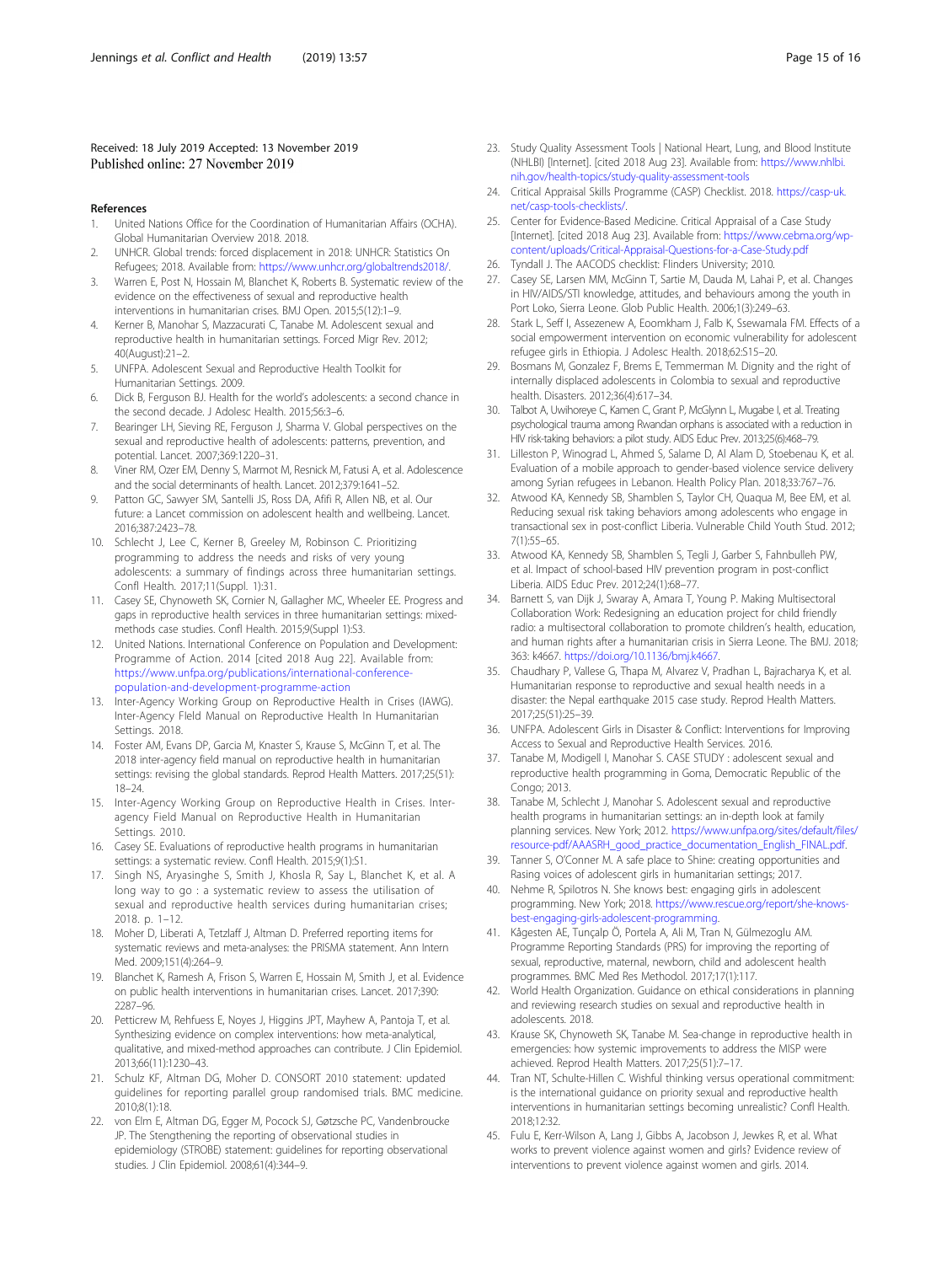#### <span id="page-14-0"></span>Received: 18 July 2019 Accepted: 13 November 2019 Published online: 27 November 2019

#### References

- 1. United Nations Office for the Coordination of Humanitarian Affairs (OCHA). Global Humanitarian Overview 2018. 2018.
- 2. UNHCR. Global trends: forced displacement in 2018: UNHCR: Statistics On Refugees; 2018. Available from: [https://www.unhcr.org/globaltrends2018/.](https://www.unhcr.org/globaltrends2018/)
- 3. Warren E, Post N, Hossain M, Blanchet K, Roberts B. Systematic review of the evidence on the effectiveness of sexual and reproductive health interventions in humanitarian crises. BMJ Open. 2015;5(12):1–9.
- 4. Kerner B, Manohar S, Mazzacurati C, Tanabe M. Adolescent sexual and reproductive health in humanitarian settings. Forced Migr Rev. 2012; 40(August):21–2.
- 5. UNFPA. Adolescent Sexual and Reproductive Health Toolkit for Humanitarian Settings. 2009.
- 6. Dick B, Ferguson BJ. Health for the world's adolescents: a second chance in the second decade. J Adolesc Health. 2015;56:3-6.
- 7. Bearinger LH, Sieving RE, Ferguson J, Sharma V. Global perspectives on the sexual and reproductive health of adolescents: patterns, prevention, and potential. Lancet. 2007;369:1220–31.
- 8. Viner RM, Ozer EM, Denny S, Marmot M, Resnick M, Fatusi A, et al. Adolescence and the social determinants of health. Lancet. 2012;379:1641–52.
- 9. Patton GC, Sawyer SM, Santelli JS, Ross DA, Afifi R, Allen NB, et al. Our future: a Lancet commission on adolescent health and wellbeing. Lancet. 2016;387:2423–78.
- 10. Schlecht J, Lee C, Kerner B, Greeley M, Robinson C. Prioritizing programming to address the needs and risks of very young adolescents: a summary of findings across three humanitarian settings. Confl Health. 2017;11(Suppl. 1):31.
- 11. Casey SE, Chynoweth SK, Cornier N, Gallagher MC, Wheeler EE. Progress and gaps in reproductive health services in three humanitarian settings: mixedmethods case studies. Confl Health. 2015;9(Suppl 1):S3.
- 12. United Nations. International Conference on Population and Development: Programme of Action. 2014 [cited 2018 Aug 22]. Available from: [https://www.unfpa.org/publications/international-conference](https://www.unfpa.org/publications/international-conference-population-and-development-programme-action)[population-and-development-programme-action](https://www.unfpa.org/publications/international-conference-population-and-development-programme-action)
- 13. Inter-Agency Working Group on Reproductive Health in Crises (IAWG). Inter-Agency FIeld Manual on Reproductive Health In Humanitarian Settings. 2018.
- 14. Foster AM, Evans DP, Garcia M, Knaster S, Krause S, McGinn T, et al. The 2018 inter-agency field manual on reproductive health in humanitarian settings: revising the global standards. Reprod Health Matters. 2017;25(51): 18–24.
- 15. Inter-Agency Working Group on Reproductive Health in Crises. Interagency Field Manual on Reproductive Health in Humanitarian Settings. 2010.
- 16. Casey SE. Evaluations of reproductive health programs in humanitarian settings: a systematic review. Confl Health. 2015;9(1):S1.
- 17. Singh NS, Aryasinghe S, Smith J, Khosla R, Say L, Blanchet K, et al. A long way to go : a systematic review to assess the utilisation of sexual and reproductive health services during humanitarian crises; 2018. p. 1–12.
- 18. Moher D, Liberati A, Tetzlaff J, Altman D. Preferred reporting items for systematic reviews and meta-analyses: the PRISMA statement. Ann Intern Med. 2009;151(4):264–9.
- 19. Blanchet K, Ramesh A, Frison S, Warren E, Hossain M, Smith J, et al. Evidence on public health interventions in humanitarian crises. Lancet. 2017;390: 2287–96.
- 20. Petticrew M, Rehfuess E, Noyes J, Higgins JPT, Mayhew A, Pantoja T, et al. Synthesizing evidence on complex interventions: how meta-analytical, qualitative, and mixed-method approaches can contribute. J Clin Epidemiol. 2013;66(11):1230–43.
- 21. Schulz KF, Altman DG, Moher D. CONSORT 2010 statement: updated guidelines for reporting parallel group randomised trials. BMC medicine. 2010;8(1):18.
- 22. von Elm E, Altman DG, Egger M, Pocock SJ, Gøtzsche PC, Vandenbroucke JP. The Stengthening the reporting of observational studies in epidemiology (STROBE) statement: guidelines for reporting observational studies. J Clin Epidemiol. 2008;61(4):344–9.
- 23. Study Quality Assessment Tools | National Heart, Lung, and Blood Institute (NHLBI) [Internet]. [cited 2018 Aug 23]. Available from: [https://www.nhlbi.](https://www.nhlbi.nih.gov/health-topics/study-quality-assessment-tools) [nih.gov/health-topics/study-quality-assessment-tools](https://www.nhlbi.nih.gov/health-topics/study-quality-assessment-tools)
- 24. Critical Appraisal Skills Programme (CASP) Checklist. 2018. [https://casp-uk.](https://casp-uk.net/casp-tools-checklists/) [net/casp-tools-checklists/](https://casp-uk.net/casp-tools-checklists/).
- 25. Center for Evidence-Based Medicine. Critical Appraisal of a Case Study [Internet]. [cited 2018 Aug 23]. Available from: [https://www.cebma.org/wp](https://www.cebma.org/wp-content/uploads/Critical-Appraisal-Questions-for-a-Case-Study.pdf)[content/uploads/Critical-Appraisal-Questions-for-a-Case-Study.pdf](https://www.cebma.org/wp-content/uploads/Critical-Appraisal-Questions-for-a-Case-Study.pdf)
- 26. Tyndall J. The AACODS checklist: Flinders University; 2010.
- 27. Casey SE, Larsen MM, McGinn T, Sartie M, Dauda M, Lahai P, et al. Changes in HIV/AIDS/STI knowledge, attitudes, and behaviours among the youth in Port Loko, Sierra Leone. Glob Public Health. 2006;1(3):249–63.
- 28. Stark L, Seff I, Assezenew A, Eoomkham J, Falb K, Ssewamala FM. Effects of a social empowerment intervention on economic vulnerability for adolescent refugee girls in Ethiopia. J Adolesc Health. 2018;62:S15–20.
- 29. Bosmans M, Gonzalez F, Brems E, Temmerman M. Dignity and the right of internally displaced adolescents in Colombia to sexual and reproductive health. Disasters. 2012;36(4):617–34.
- 30. Talbot A, Uwihoreye C, Kamen C, Grant P, McGlynn L, Mugabe I, et al. Treating psychological trauma among Rwandan orphans is associated with a reduction in HIV risk-taking behaviors: a pilot study. AIDS Educ Prev. 2013;25(6):468–79.
- 31. Lilleston P, Winograd L, Ahmed S, Salame D, Al Alam D, Stoebenau K, et al. Evaluation of a mobile approach to gender-based violence service delivery among Syrian refugees in Lebanon. Health Policy Plan. 2018;33:767–76.
- 32. Atwood KA, Kennedy SB, Shamblen S, Taylor CH, Quaqua M, Bee EM, et al. Reducing sexual risk taking behaviors among adolescents who engage in transactional sex in post-conflict Liberia. Vulnerable Child Youth Stud. 2012; 7(1):55–65.
- 33. Atwood KA, Kennedy SB, Shamblen S, Tegli J, Garber S, Fahnbulleh PW, et al. Impact of school-based HIV prevention program in post-conflict Liberia. AIDS Educ Prev. 2012;24(1):68–77.
- 34. Barnett S, van Dijk J, Swaray A, Amara T, Young P. Making Multisectoral Collaboration Work: Redesigning an education project for child friendly radio: a multisectoral collaboration to promote children's health, education, and human rights after a humanitarian crisis in Sierra Leone. The BMJ. 2018; 363: k4667. <https://doi.org/10.1136/bmj.k4667>.
- 35. Chaudhary P, Vallese G, Thapa M, Alvarez V, Pradhan L, Bajracharya K, et al. Humanitarian response to reproductive and sexual health needs in a disaster: the Nepal earthquake 2015 case study. Reprod Health Matters. 2017;25(51):25–39.
- 36. UNFPA. Adolescent Girls in Disaster & Conflict: Interventions for Improving Access to Sexual and Reproductive Health Services. 2016.
- 37. Tanabe M, Modigell I, Manohar S. CASE STUDY : adolescent sexual and reproductive health programming in Goma, Democratic Republic of the Congo; 2013.
- 38. Tanabe M, Schlecht J, Manohar S. Adolescent sexual and reproductive health programs in humanitarian settings: an in-depth look at family planning services. New York; 2012. [https://www.unfpa.org/sites/default/files/](https://www.unfpa.org/sites/default/files/resource-pdf/AAASRH_good_practice_documentation_English_FINAL.pdf) [resource-pdf/AAASRH\\_good\\_practice\\_documentation\\_English\\_FINAL.pdf.](https://www.unfpa.org/sites/default/files/resource-pdf/AAASRH_good_practice_documentation_English_FINAL.pdf)
- 39. Tanner S, O'Conner M. A safe place to Shine: creating opportunities and Rasing voices of adolescent girls in humanitarian settings; 2017.
- 40. Nehme R, Spilotros N. She knows best: engaging girls in adolescent programming. New York; 2018. [https://www.rescue.org/report/she-knows](https://www.rescue.org/report/she-knows-best-engaging-girls-adolescent-programming)[best-engaging-girls-adolescent-programming](https://www.rescue.org/report/she-knows-best-engaging-girls-adolescent-programming).
- 41. Kågesten AE, Tunçalp Ö, Portela A, Ali M, Tran N, Gülmezoglu AM. Programme Reporting Standards (PRS) for improving the reporting of sexual, reproductive, maternal, newborn, child and adolescent health programmes. BMC Med Res Methodol. 2017;17(1):117.
- 42. World Health Organization. Guidance on ethical considerations in planning and reviewing research studies on sexual and reproductive health in adolescents. 2018.
- 43. Krause SK, Chynoweth SK, Tanabe M. Sea-change in reproductive health in emergencies: how systemic improvements to address the MISP were achieved. Reprod Health Matters. 2017;25(51):7–17.
- Tran NT, Schulte-Hillen C. Wishful thinking versus operational commitment: is the international guidance on priority sexual and reproductive health interventions in humanitarian settings becoming unrealistic? Confl Health. 2018;12:32.
- 45. Fulu E, Kerr-Wilson A, Lang J, Gibbs A, Jacobson J, Jewkes R, et al. What works to prevent violence against women and girls? Evidence review of interventions to prevent violence against women and girls. 2014.